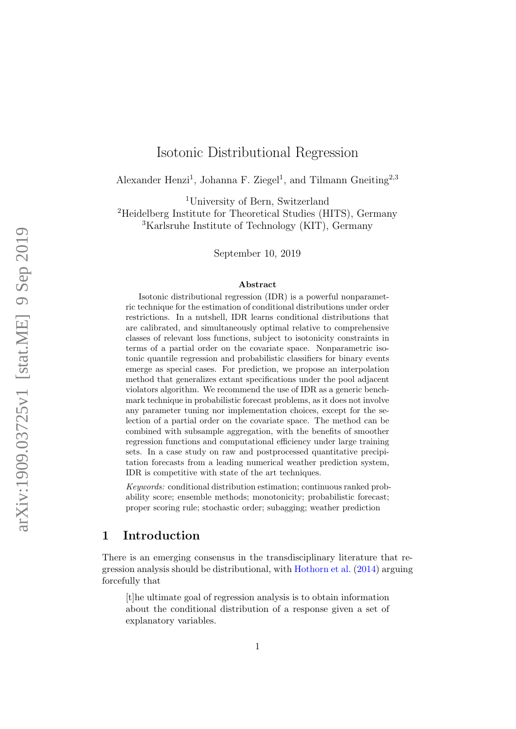# Isotonic Distributional Regression

Alexander Henzi<sup>1</sup>, Johanna F. Ziegel<sup>1</sup>, and Tilmann Gneiting<sup>2,3</sup>

<sup>1</sup>University of Bern, Switzerland

<sup>2</sup>Heidelberg Institute for Theoretical Studies (HITS), Germany <sup>3</sup>Karlsruhe Institute of Technology (KIT), Germany

September 10, 2019

#### Abstract

Isotonic distributional regression (IDR) is a powerful nonparametric technique for the estimation of conditional distributions under order restrictions. In a nutshell, IDR learns conditional distributions that are calibrated, and simultaneously optimal relative to comprehensive classes of relevant loss functions, subject to isotonicity constraints in terms of a partial order on the covariate space. Nonparametric isotonic quantile regression and probabilistic classifiers for binary events emerge as special cases. For prediction, we propose an interpolation method that generalizes extant specifications under the pool adjacent violators algorithm. We recommend the use of IDR as a generic benchmark technique in probabilistic forecast problems, as it does not involve any parameter tuning nor implementation choices, except for the selection of a partial order on the covariate space. The method can be combined with subsample aggregation, with the benefits of smoother regression functions and computational efficiency under large training sets. In a case study on raw and postprocessed quantitative precipitation forecasts from a leading numerical weather prediction system, IDR is competitive with state of the art techniques.

Keywords: conditional distribution estimation; continuous ranked probability score; ensemble methods; monotonicity; probabilistic forecast; proper scoring rule; stochastic order; subagging; weather prediction

## 1 Introduction

There is an emerging consensus in the transdisciplinary literature that regression analysis should be distributional, with Hothorn et al. (2014) arguing forcefully that

[t]he ultimate goal of regression analysis is to obtain information about the conditional distribution of a response given a set of explanatory variables.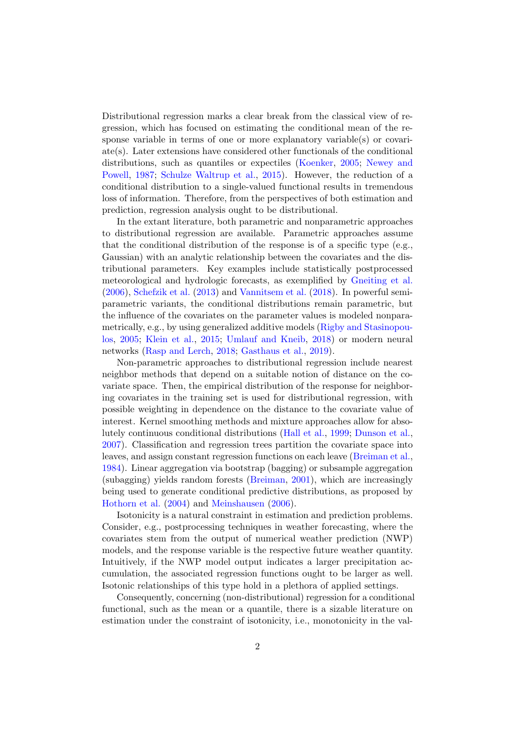Distributional regression marks a clear break from the classical view of regression, which has focused on estimating the conditional mean of the response variable in terms of one or more explanatory variable(s) or covariate(s). Later extensions have considered other functionals of the conditional distributions, such as quantiles or expectiles (Koenker, 2005; Newey and Powell, 1987; Schulze Waltrup et al., 2015). However, the reduction of a conditional distribution to a single-valued functional results in tremendous loss of information. Therefore, from the perspectives of both estimation and prediction, regression analysis ought to be distributional.

In the extant literature, both parametric and nonparametric approaches to distributional regression are available. Parametric approaches assume that the conditional distribution of the response is of a specific type (e.g., Gaussian) with an analytic relationship between the covariates and the distributional parameters. Key examples include statistically postprocessed meteorological and hydrologic forecasts, as exemplified by Gneiting et al. (2006), Schefzik et al. (2013) and Vannitsem et al. (2018). In powerful semiparametric variants, the conditional distributions remain parametric, but the influence of the covariates on the parameter values is modeled nonparametrically, e.g., by using generalized additive models (Rigby and Stasinopoulos, 2005; Klein et al., 2015; Umlauf and Kneib, 2018) or modern neural networks (Rasp and Lerch, 2018; Gasthaus et al., 2019).

Non-parametric approaches to distributional regression include nearest neighbor methods that depend on a suitable notion of distance on the covariate space. Then, the empirical distribution of the response for neighboring covariates in the training set is used for distributional regression, with possible weighting in dependence on the distance to the covariate value of interest. Kernel smoothing methods and mixture approaches allow for absolutely continuous conditional distributions (Hall et al., 1999; Dunson et al., 2007). Classification and regression trees partition the covariate space into leaves, and assign constant regression functions on each leave (Breiman et al., 1984). Linear aggregation via bootstrap (bagging) or subsample aggregation (subagging) yields random forests (Breiman, 2001), which are increasingly being used to generate conditional predictive distributions, as proposed by Hothorn et al. (2004) and Meinshausen (2006).

Isotonicity is a natural constraint in estimation and prediction problems. Consider, e.g., postprocessing techniques in weather forecasting, where the covariates stem from the output of numerical weather prediction (NWP) models, and the response variable is the respective future weather quantity. Intuitively, if the NWP model output indicates a larger precipitation accumulation, the associated regression functions ought to be larger as well. Isotonic relationships of this type hold in a plethora of applied settings.

Consequently, concerning (non-distributional) regression for a conditional functional, such as the mean or a quantile, there is a sizable literature on estimation under the constraint of isotonicity, i.e., monotonicity in the val-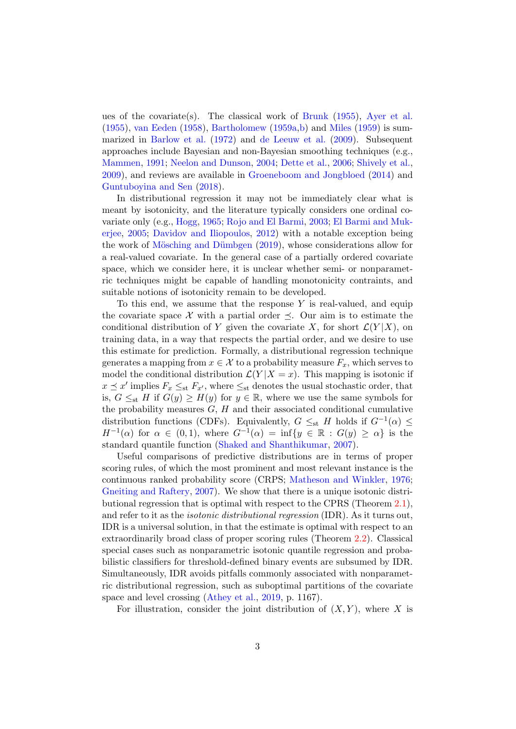ues of the covariate(s). The classical work of Brunk (1955), Ayer et al. (1955), van Eeden (1958), Bartholomew (1959a,b) and Miles (1959) is summarized in Barlow et al. (1972) and de Leeuw et al. (2009). Subsequent approaches include Bayesian and non-Bayesian smoothing techniques (e.g., Mammen, 1991; Neelon and Dunson, 2004; Dette et al., 2006; Shively et al., 2009), and reviews are available in Groeneboom and Jongbloed (2014) and Guntuboyina and Sen (2018).

In distributional regression it may not be immediately clear what is meant by isotonicity, and the literature typically considers one ordinal covariate only (e.g., Hogg, 1965; Rojo and El Barmi, 2003; El Barmi and Mukerjee, 2005; Davidov and Iliopoulos, 2012) with a notable exception being the work of Mösching and Dümbgen (2019), whose considerations allow for a real-valued covariate. In the general case of a partially ordered covariate space, which we consider here, it is unclear whether semi- or nonparametric techniques might be capable of handling monotonicity contraints, and suitable notions of isotonicity remain to be developed.

To this end, we assume that the response  $Y$  is real-valued, and equip the covariate space X with a partial order  $\preceq$ . Our aim is to estimate the conditional distribution of Y given the covariate X, for short  $\mathcal{L}(Y|X)$ , on training data, in a way that respects the partial order, and we desire to use this estimate for prediction. Formally, a distributional regression technique generates a mapping from  $x \in \mathcal{X}$  to a probability measure  $F_x$ , which serves to model the conditional distribution  $\mathcal{L}(Y | X = x)$ . This mapping is isotonic if  $x \leq x'$  implies  $F_x \leq_{st} F_{x'}$ , where  $\leq_{st}$  denotes the usual stochastic order, that is,  $G \leq_{st} H$  if  $G(y) \geq H(y)$  for  $y \in \mathbb{R}$ , where we use the same symbols for the probability measures  $G, H$  and their associated conditional cumulative distribution functions (CDFs). Equivalently,  $G \leq_{st} H$  holds if  $G^{-1}(\alpha) \leq$  $H^{-1}(\alpha)$  for  $\alpha \in (0,1)$ , where  $G^{-1}(\alpha) = \inf\{y \in \mathbb{R} : G(y) \geq \alpha\}$  is the standard quantile function (Shaked and Shanthikumar, 2007).

Useful comparisons of predictive distributions are in terms of proper scoring rules, of which the most prominent and most relevant instance is the continuous ranked probability score (CRPS; Matheson and Winkler, 1976; Gneiting and Raftery, 2007). We show that there is a unique isotonic distributional regression that is optimal with respect to the CPRS (Theorem 2.1), and refer to it as the isotonic distributional regression (IDR). As it turns out, IDR is a universal solution, in that the estimate is optimal with respect to an extraordinarily broad class of proper scoring rules (Theorem 2.2). Classical special cases such as nonparametric isotonic quantile regression and probabilistic classifiers for threshold-defined binary events are subsumed by IDR. Simultaneously, IDR avoids pitfalls commonly associated with nonparametric distributional regression, such as suboptimal partitions of the covariate space and level crossing (Athey et al., 2019, p. 1167).

For illustration, consider the joint distribution of  $(X, Y)$ , where X is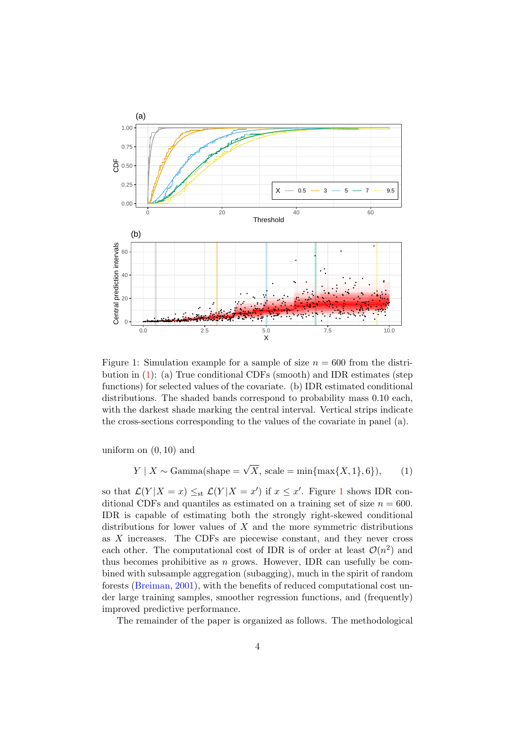

Figure 1: Simulation example for a sample of size  $n = 600$  from the distribution in (1): (a) True conditional CDFs (smooth) and IDR estimates (step functions) for selected values of the covariate. (b) IDR estimated conditional distributions. The shaded bands correspond to probability mass 0.10 each, with the darkest shade marking the central interval. Vertical strips indicate the cross-sections corresponding to the values of the covariate in panel (a).

uniform on (0, 10) and

$$
Y \mid X \sim \text{Gamma}(\text{shape} = \sqrt{X}, \text{scale} = \min\{\max\{X, 1\}, 6\}),\tag{1}
$$

so that  $\mathcal{L}(Y|X=x) \leq_{st} \mathcal{L}(Y|X=x')$  if  $x \leq x'$ . Figure 1 shows IDR conditional CDFs and quantiles as estimated on a training set of size  $n = 600$ . IDR is capable of estimating both the strongly right-skewed conditional distributions for lower values of  $X$  and the more symmetric distributions as X increases. The CDFs are piecewise constant, and they never cross each other. The computational cost of IDR is of order at least  $\mathcal{O}(n^2)$  and thus becomes prohibitive as  $n$  grows. However, IDR can usefully be combined with subsample aggregation (subagging), much in the spirit of random forests (Breiman, 2001), with the benefits of reduced computational cost under large training samples, smoother regression functions, and (frequently) improved predictive performance.

The remainder of the paper is organized as follows. The methodological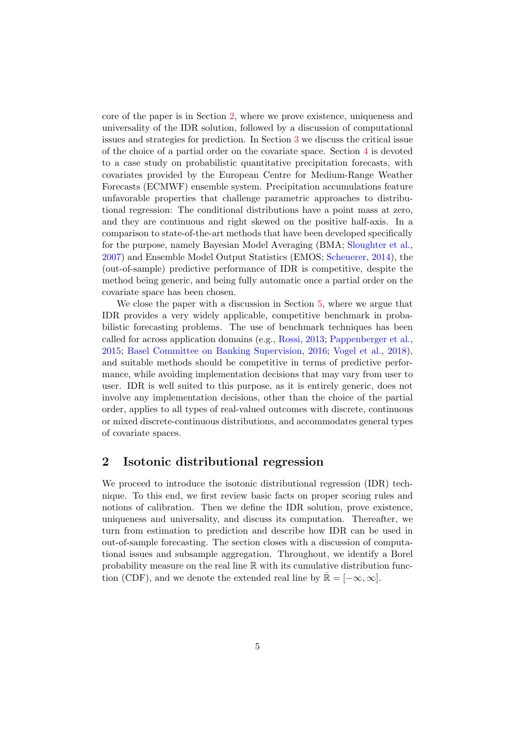core of the paper is in Section 2, where we prove existence, uniqueness and universality of the IDR solution, followed by a discussion of computational issues and strategies for prediction. In Section 3 we discuss the critical issue of the choice of a partial order on the covariate space. Section 4 is devoted to a case study on probabilistic quantitative precipitation forecasts, with covariates provided by the European Centre for Medium-Range Weather Forecasts (ECMWF) ensemble system. Precipitation accumulations feature unfavorable properties that challenge parametric approaches to distributional regression: The conditional distributions have a point mass at zero, and they are continuous and right skewed on the positive half-axis. In a comparison to state-of-the-art methods that have been developed specifically for the purpose, namely Bayesian Model Averaging (BMA; Sloughter et al., 2007) and Ensemble Model Output Statistics (EMOS; Scheuerer, 2014), the (out-of-sample) predictive performance of IDR is competitive, despite the method being generic, and being fully automatic once a partial order on the covariate space has been chosen.

We close the paper with a discussion in Section 5, where we argue that IDR provides a very widely applicable, competitive benchmark in probabilistic forecasting problems. The use of benchmark techniques has been called for across application domains (e.g., Rossi, 2013; Pappenberger et al., 2015; Basel Committee on Banking Supervision, 2016; Vogel et al., 2018), and suitable methods should be competitive in terms of predictive performance, while avoiding implementation decisions that may vary from user to user. IDR is well suited to this purpose, as it is entirely generic, does not involve any implementation decisions, other than the choice of the partial order, applies to all types of real-valued outcomes with discrete, continuous or mixed discrete-continuous distributions, and accommodates general types of covariate spaces.

## 2 Isotonic distributional regression

We proceed to introduce the isotonic distributional regression (IDR) technique. To this end, we first review basic facts on proper scoring rules and notions of calibration. Then we define the IDR solution, prove existence, uniqueness and universality, and discuss its computation. Thereafter, we turn from estimation to prediction and describe how IDR can be used in out-of-sample forecasting. The section closes with a discussion of computational issues and subsample aggregation. Throughout, we identify a Borel probability measure on the real line R with its cumulative distribution function (CDF), and we denote the extended real line by  $\mathbb{R} = [-\infty, \infty]$ .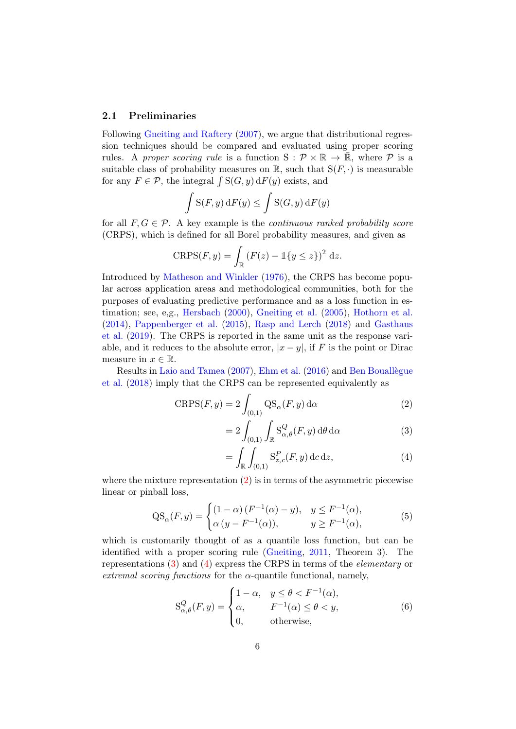#### 2.1 Preliminaries

Following Gneiting and Raftery (2007), we argue that distributional regression techniques should be compared and evaluated using proper scoring rules. A proper scoring rule is a function  $S: \mathcal{P} \times \mathbb{R} \to \mathbb{R}$ , where  $\mathcal{P}$  is a suitable class of probability measures on  $\mathbb{R}$ , such that  $S(F, \cdot)$  is measurable for any  $F \in \mathcal{P}$ , the integral  $\int S(G, y) dF(y)$  exists, and

$$
\int S(F, y) dF(y) \le \int S(G, y) dF(y)
$$

for all  $F, G \in \mathcal{P}$ . A key example is the *continuous ranked probability score* (CRPS), which is defined for all Borel probability measures, and given as

$$
CRPS(F, y) = \int_{\mathbb{R}} \left( F(z) - \mathbb{1}\{y \le z\} \right)^2 dz.
$$

Introduced by Matheson and Winkler (1976), the CRPS has become popular across application areas and methodological communities, both for the purposes of evaluating predictive performance and as a loss function in estimation; see, e,g., Hersbach (2000), Gneiting et al. (2005), Hothorn et al. (2014), Pappenberger et al. (2015), Rasp and Lerch (2018) and Gasthaus et al. (2019). The CRPS is reported in the same unit as the response variable, and it reduces to the absolute error,  $|x-y|$ , if F is the point or Dirac measure in  $x \in \mathbb{R}$ .

Results in Laio and Tamea (2007), Ehm et al. (2016) and Ben Bouallègue et al. (2018) imply that the CRPS can be represented equivalently as

$$
CRPS(F, y) = 2 \int_{(0,1)} \mathrm{QS}_{\alpha}(F, y) \, \mathrm{d}\alpha \tag{2}
$$

$$
=2\int_{(0,1)}\int_{\mathbb{R}}S_{\alpha,\theta}^{Q}(F,y)\,d\theta\,d\alpha\qquad(3)
$$

$$
= \int_{\mathbb{R}} \int_{(0,1)} \mathcal{S}_{z,c}^P(F,y) \, \mathrm{d}c \, \mathrm{d}z,\tag{4}
$$

where the mixture representation  $(2)$  is in terms of the asymmetric piecewise linear or pinball loss,

$$
QS_{\alpha}(F, y) = \begin{cases} (1 - \alpha) (F^{-1}(\alpha) - y), & y \le F^{-1}(\alpha), \\ \alpha (y - F^{-1}(\alpha)), & y \ge F^{-1}(\alpha), \end{cases}
$$
(5)

which is customarily thought of as a quantile loss function, but can be identified with a proper scoring rule (Gneiting, 2011, Theorem 3). The representations (3) and (4) express the CRPS in terms of the elementary or extremal scoring functions for the  $\alpha$ -quantile functional, namely,

$$
S_{\alpha,\theta}^{Q}(F,y) = \begin{cases} 1 - \alpha, & y \leq \theta < F^{-1}(\alpha), \\ \alpha, & F^{-1}(\alpha) \leq \theta < y, \\ 0, & \text{otherwise}, \end{cases}
$$
(6)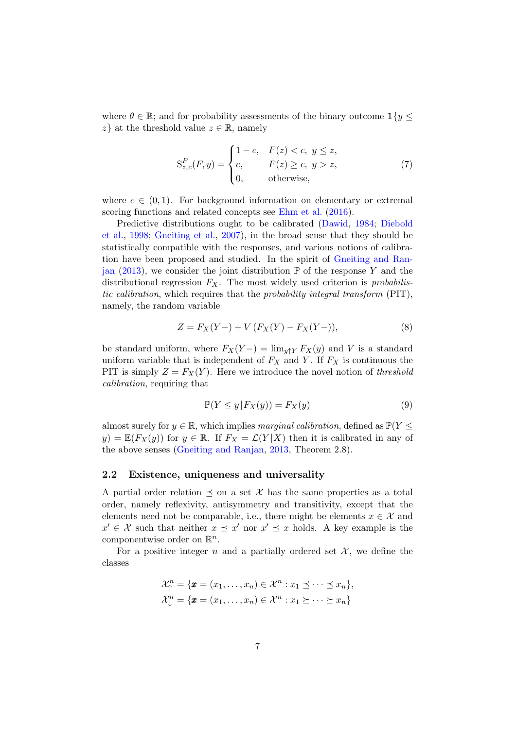where  $\theta \in \mathbb{R}$ ; and for probability assessments of the binary outcome  $\mathbb{1}{y \leq \theta}$  $z\}$  at the threshold value  $z \in \mathbb{R}$ , namely

$$
S_{z,c}^{P}(F,y) = \begin{cases} 1-c, & F(z) < c, y \leq z, \\ c, & F(z) \geq c, y > z, \\ 0, & \text{otherwise,} \end{cases}
$$
(7)

where  $c \in (0, 1)$ . For background information on elementary or extremal scoring functions and related concepts see Ehm et al. (2016).

Predictive distributions ought to be calibrated (Dawid, 1984; Diebold et al., 1998; Gneiting et al., 2007), in the broad sense that they should be statistically compatible with the responses, and various notions of calibration have been proposed and studied. In the spirit of Gneiting and Ranjan (2013), we consider the joint distribution  $\mathbb P$  of the response Y and the distributional regression  $F_X$ . The most widely used criterion is *probabilis*tic calibration, which requires that the probability integral transform (PIT), namely, the random variable

$$
Z = F_X(Y-) + V (F_X(Y) - F_X(Y-)),
$$
\n(8)

be standard uniform, where  $F_X(Y-) = \lim_{y \uparrow Y} F_X(y)$  and V is a standard uniform variable that is independent of  $F_X$  and Y. If  $F_X$  is continuous the PIT is simply  $Z = F_X(Y)$ . Here we introduce the novel notion of threshold calibration, requiring that

$$
\mathbb{P}(Y \le y | F_X(y)) = F_X(y) \tag{9}
$$

almost surely for  $y \in \mathbb{R}$ , which implies marginal calibration, defined as  $\mathbb{P}(Y \leq$  $y) = \mathbb{E}(F_X(y))$  for  $y \in \mathbb{R}$ . If  $F_X = \mathcal{L}(Y|X)$  then it is calibrated in any of the above senses (Gneiting and Ranjan, 2013, Theorem 2.8).

#### 2.2 Existence, uniqueness and universality

A partial order relation  $\preceq$  on a set X has the same properties as a total order, namely reflexivity, antisymmetry and transitivity, except that the elements need not be comparable, i.e., there might be elements  $x \in \mathcal{X}$  and  $x' \in \mathcal{X}$  such that neither  $x \preceq x'$  nor  $x' \preceq x$  holds. A key example is the componentwise order on  $\mathbb{R}^n$ .

For a positive integer n and a partially ordered set  $\mathcal{X}$ , we define the classes

$$
\mathcal{X}_{\uparrow}^{n} = \{ \pmb{x} = (x_1, \ldots, x_n) \in \mathcal{X}^{n} : x_1 \leq \cdots \leq x_n \},
$$
  

$$
\mathcal{X}_{\downarrow}^{n} = \{ \pmb{x} = (x_1, \ldots, x_n) \in \mathcal{X}^{n} : x_1 \succeq \cdots \succeq x_n \}
$$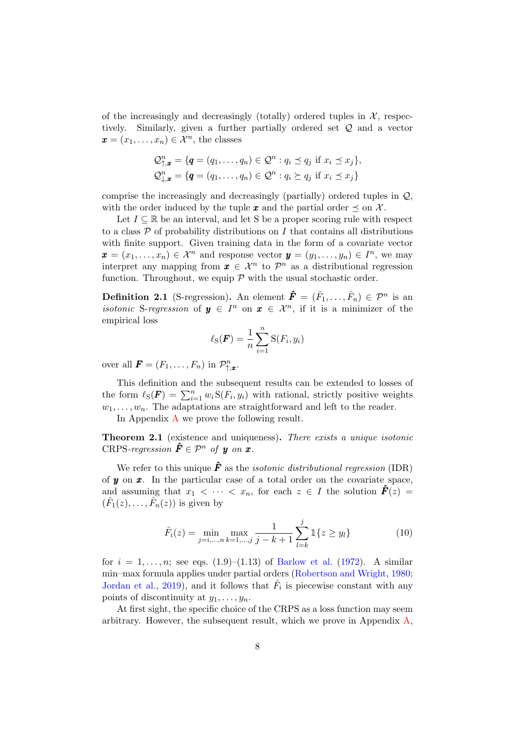of the increasingly and decreasingly (totally) ordered tuples in  $\mathcal{X}$ , respectively. Similarly, given a further partially ordered set Q and a vector  $\boldsymbol{x} = (x_1, \ldots, x_n) \in \mathcal{X}^n$ , the classes

$$
\mathcal{Q}_{\uparrow,\boldsymbol{x}}^n = \{ \boldsymbol{q} = (q_1,\ldots,q_n) \in \mathcal{Q}^n : q_i \preceq q_j \text{ if } x_i \preceq x_j \},
$$
  

$$
\mathcal{Q}_{\downarrow,\boldsymbol{x}}^n = \{ \boldsymbol{q} = (q_1,\ldots,q_n) \in \mathcal{Q}^n : q_i \succeq q_j \text{ if } x_i \preceq x_j \}
$$

comprise the increasingly and decreasingly (partially) ordered tuples in Q, with the order induced by the tuple x and the partial order  $\preceq$  on X.

Let  $I \subseteq \mathbb{R}$  be an interval, and let S be a proper scoring rule with respect to a class  $P$  of probability distributions on  $I$  that contains all distributions with finite support. Given training data in the form of a covariate vector  $\boldsymbol{x} = (x_1, \ldots, x_n) \in \mathcal{X}^n$  and response vector  $\boldsymbol{y} = (y_1, \ldots, y_n) \in I^n$ , we may interpret any mapping from  $\boldsymbol{x} \in \mathcal{X}^n$  to  $\mathcal{P}^n$  as a distributional regression function. Throughout, we equip  $P$  with the usual stochastic order.

**Definition 2.1** (S-regression). An element  $\hat{\mathbf{F}} = (\hat{F}_1, \dots, \hat{F}_n) \in \mathcal{P}^n$  is an *isotonic* S-regression of  $y \in I^n$  on  $x \in \mathcal{X}^n$ , if it is a minimizer of the empirical loss

$$
\ell_{\rm S}(\boldsymbol{F}) = \frac{1}{n} \sum_{i=1}^{n} {\rm S}(F_i, y_i)
$$

over all  $\mathbf{F} = (F_1, \ldots, F_n)$  in  $\mathcal{P}_{\uparrow, \mathbf{x}}^n$ .

This definition and the subsequent results can be extended to losses of the form  $\ell_S(\mathbf{F}) = \sum_{i=1}^n w_i S(F_i, y_i)$  with rational, strictly positive weights  $w_1, \ldots, w_n$ . The adaptations are straightforward and left to the reader.

In Appendix A we prove the following result.

Theorem 2.1 (existence and uniqueness). There exists a unique isotonic CRPS-regression  $\hat{\mathbf{F}} \in \mathcal{P}^n$  of y on x.

We refer to this unique  $\hat{F}$  as the *isotonic distributional regression* (IDR) of  $y$  on  $x$ . In the particular case of a total order on the covariate space, and assuming that  $x_1 < \cdots < x_n$ , for each  $z \in I$  the solution  $\mathbf{F}(z) =$  $(\hat{F}_1(z), \ldots, \hat{F}_n(z))$  is given by

$$
\hat{F}_i(z) = \min_{j=i,\dots,n} \max_{k=1,\dots,j} \frac{1}{j-k+1} \sum_{l=k}^j \mathbb{1}\{z \ge y_l\}
$$
\n(10)

for  $i = 1, ..., n$ ; see eqs.  $(1.9)$ – $(1.13)$  of Barlow et al.  $(1972)$ . A similar min–max formula applies under partial orders (Robertson and Wright, 1980; Jordan et al., 2019), and it follows that  $\hat{F}_i$  is piecewise constant with any points of discontinuity at  $y_1, \ldots, y_n$ .

At first sight, the specific choice of the CRPS as a loss function may seem arbitrary. However, the subsequent result, which we prove in Appendix  $A$ ,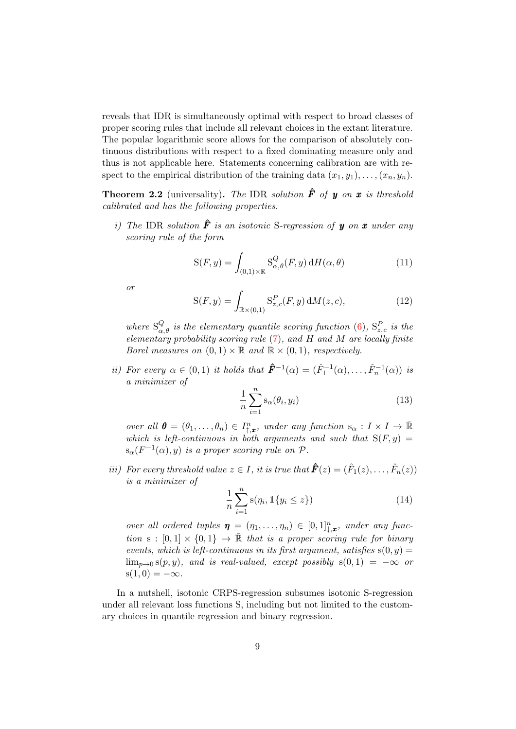reveals that IDR is simultaneously optimal with respect to broad classes of proper scoring rules that include all relevant choices in the extant literature. The popular logarithmic score allows for the comparison of absolutely continuous distributions with respect to a fixed dominating measure only and thus is not applicable here. Statements concerning calibration are with respect to the empirical distribution of the training data  $(x_1, y_1), \ldots, (x_n, y_n)$ .

**Theorem 2.2** (universality). The IDR solution  $\hat{F}$  of y on x is threshold calibrated and has the following properties.

i) The IDR solution  $\hat{F}$  is an isotonic S-regression of **y** on **x** under any scoring rule of the form

$$
S(F, y) = \int_{(0,1)\times\mathbb{R}} S^Q_{\alpha,\theta}(F, y) dH(\alpha, \theta)
$$
 (11)

or

$$
S(F, y) = \int_{\mathbb{R} \times (0, 1)} S_{z, c}^P(F, y) dM(z, c),
$$
 (12)

where  $S_{\alpha,\theta}^Q$  is the elementary quantile scoring function (6),  $S_{z,c}^P$  is the elementary probability scoring rule  $(7)$ , and H and M are locally finite Borel measures on  $(0,1) \times \mathbb{R}$  and  $\mathbb{R} \times (0,1)$ , respectively.

*ii*) For every  $\alpha \in (0,1)$  it holds that  $\hat{\mathbf{F}}^{-1}(\alpha) = (\hat{F}_1^{-1}(\alpha), \dots, \hat{F}_n^{-1}(\alpha))$  is a minimizer of

$$
\frac{1}{n}\sum_{i=1}^{n}\mathbf{s}_{\alpha}(\theta_{i},y_{i})
$$
\n(13)

over all  $\boldsymbol{\theta} = (\theta_1, \dots, \theta_n) \in I_{\uparrow, x}^n$ , under any function  $s_\alpha : I \times I \to \mathbb{R}$ which is left-continuous in both arguments and such that  $S(F, y) =$  $s_{\alpha}(F^{-1}(\alpha), y)$  is a proper scoring rule on  $P$ .

*iii*) For every threshold value  $z \in I$ , *it is true that*  $\mathbf{\hat{F}}(z) = (\hat{F}_1(z), \dots, \hat{F}_n(z))$ is a minimizer of

$$
\frac{1}{n}\sum_{i=1}^{n}\mathbf{s}(\eta_i, \mathbb{1}\{y_i \le z\})
$$
\n(14)

over all ordered tuples  $\boldsymbol{\eta} = (\eta_1, \dots, \eta_n) \in [0,1]^n_{\downarrow,x}$ , under any function s :  $[0,1] \times \{0,1\} \rightarrow \mathbb{R}$  that is a proper scoring rule for binary events, which is left-continuous in its first argument, satisfies  $s(0, y) =$  $\lim_{p\to 0} s(p, y)$ , and is real-valued, except possibly  $s(0, 1) = -\infty$  or  $s(1, 0) = -\infty$ .

In a nutshell, isotonic CRPS-regression subsumes isotonic S-regression under all relevant loss functions S, including but not limited to the customary choices in quantile regression and binary regression.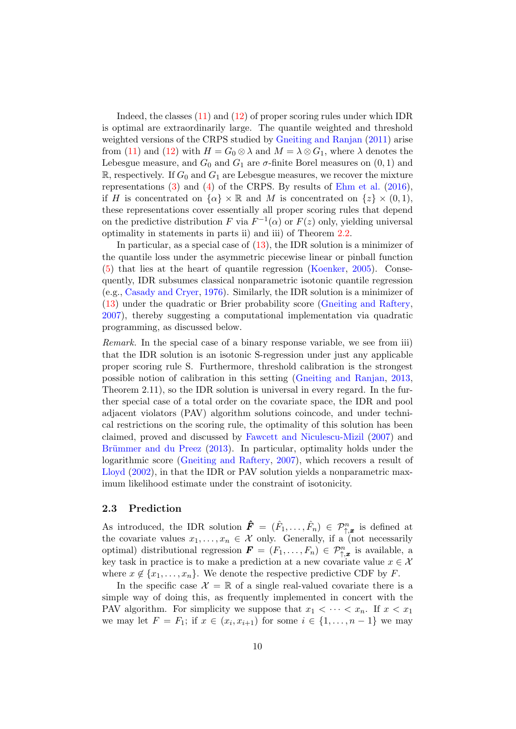Indeed, the classes (11) and (12) of proper scoring rules under which IDR is optimal are extraordinarily large. The quantile weighted and threshold weighted versions of the CRPS studied by Gneiting and Ranjan (2011) arise from (11) and (12) with  $H = G_0 \otimes \lambda$  and  $M = \lambda \otimes G_1$ , where  $\lambda$  denotes the Lebesgue measure, and  $G_0$  and  $G_1$  are  $\sigma$ -finite Borel measures on  $(0, 1)$  and  $\mathbb{R}$ , respectively. If  $G_0$  and  $G_1$  are Lebesgue measures, we recover the mixture representations (3) and (4) of the CRPS. By results of Ehm et al. (2016), if H is concentrated on  $\{\alpha\} \times \mathbb{R}$  and M is concentrated on  $\{z\} \times (0,1)$ , these representations cover essentially all proper scoring rules that depend on the predictive distribution F via  $F^{-1}(\alpha)$  or  $F(z)$  only, yielding universal optimality in statements in parts ii) and iii) of Theorem 2.2.

In particular, as a special case of  $(13)$ , the IDR solution is a minimizer of the quantile loss under the asymmetric piecewise linear or pinball function (5) that lies at the heart of quantile regression (Koenker, 2005). Consequently, IDR subsumes classical nonparametric isotonic quantile regression (e.g., Casady and Cryer, 1976). Similarly, the IDR solution is a minimizer of (13) under the quadratic or Brier probability score (Gneiting and Raftery, 2007), thereby suggesting a computational implementation via quadratic programming, as discussed below.

Remark. In the special case of a binary response variable, we see from iii) that the IDR solution is an isotonic S-regression under just any applicable proper scoring rule S. Furthermore, threshold calibration is the strongest possible notion of calibration in this setting (Gneiting and Ranjan, 2013, Theorem 2.11), so the IDR solution is universal in every regard. In the further special case of a total order on the covariate space, the IDR and pool adjacent violators (PAV) algorithm solutions coincode, and under technical restrictions on the scoring rule, the optimality of this solution has been claimed, proved and discussed by Fawcett and Niculescu-Mizil (2007) and Brümmer and du Preez (2013). In particular, optimality holds under the logarithmic score (Gneiting and Raftery, 2007), which recovers a result of Lloyd (2002), in that the IDR or PAV solution yields a nonparametric maximum likelihood estimate under the constraint of isotonicity.

#### 2.3 Prediction

As introduced, the IDR solution  $\mathbf{\hat{F}} = (\hat{F}_1, \dots, \hat{F}_n) \in \mathcal{P}_{\uparrow, \mathbf{x}}^n$  is defined at the covariate values  $x_1, \ldots, x_n \in \mathcal{X}$  only. Generally, if a (not necessarily optimal) distributional regression  $\mathbf{F} = (F_1, \ldots, F_n) \in \mathcal{P}_{\uparrow, \mathbf{x}}^n$  is available, a key task in practice is to make a prediction at a new covariate value  $x \in \mathcal{X}$ where  $x \notin \{x_1, \ldots, x_n\}$ . We denote the respective predictive CDF by F.

In the specific case  $\mathcal{X} = \mathbb{R}$  of a single real-valued covariate there is a simple way of doing this, as frequently implemented in concert with the PAV algorithm. For simplicity we suppose that  $x_1 < \cdots < x_n$ . If  $x < x_1$ we may let  $F = F_1$ ; if  $x \in (x_i, x_{i+1})$  for some  $i \in \{1, \ldots, n-1\}$  we may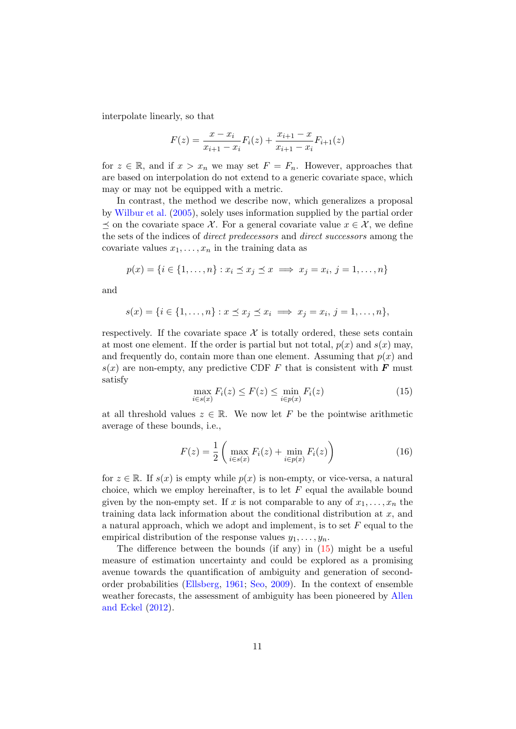interpolate linearly, so that

$$
F(z) = \frac{x - x_i}{x_{i+1} - x_i} F_i(z) + \frac{x_{i+1} - x}{x_{i+1} - x_i} F_{i+1}(z)
$$

for  $z \in \mathbb{R}$ , and if  $x > x_n$  we may set  $F = F_n$ . However, approaches that are based on interpolation do not extend to a generic covariate space, which may or may not be equipped with a metric.

In contrast, the method we describe now, which generalizes a proposal by Wilbur et al. (2005), solely uses information supplied by the partial order  $\preceq$  on the covariate space X. For a general covariate value  $x \in \mathcal{X}$ , we define the sets of the indices of direct predecessors and direct successors among the covariate values  $x_1, \ldots, x_n$  in the training data as

$$
p(x) = \{i \in \{1, \ldots, n\} : x_i \leq x_j \leq x \implies x_j = x_i, j = 1, \ldots, n\}
$$

and

$$
s(x) = \{i \in \{1, \ldots, n\} : x \leq x_j \leq x_i \implies x_j = x_i, j = 1, \ldots, n\},\
$$

respectively. If the covariate space  $\mathcal X$  is totally ordered, these sets contain at most one element. If the order is partial but not total,  $p(x)$  and  $s(x)$  may, and frequently do, contain more than one element. Assuming that  $p(x)$  and  $s(x)$  are non-empty, any predictive CDF F that is consistent with F must satisfy

$$
\max_{i \in s(x)} F_i(z) \le F(z) \le \min_{i \in p(x)} F_i(z) \tag{15}
$$

at all threshold values  $z \in \mathbb{R}$ . We now let F be the pointwise arithmetic average of these bounds, i.e.,

$$
F(z) = \frac{1}{2} \left( \max_{i \in s(x)} F_i(z) + \min_{i \in p(x)} F_i(z) \right)
$$
 (16)

for  $z \in \mathbb{R}$ . If  $s(x)$  is empty while  $p(x)$  is non-empty, or vice-versa, a natural choice, which we employ hereinafter, is to let  $F$  equal the available bound given by the non-empty set. If x is not comparable to any of  $x_1, \ldots, x_n$  the training data lack information about the conditional distribution at  $x$ , and a natural approach, which we adopt and implement, is to set  $F$  equal to the empirical distribution of the response values  $y_1, \ldots, y_n$ .

The difference between the bounds (if any) in (15) might be a useful measure of estimation uncertainty and could be explored as a promising avenue towards the quantification of ambiguity and generation of secondorder probabilities (Ellsberg, 1961; Seo, 2009). In the context of ensemble weather forecasts, the assessment of ambiguity has been pioneered by Allen and Eckel (2012).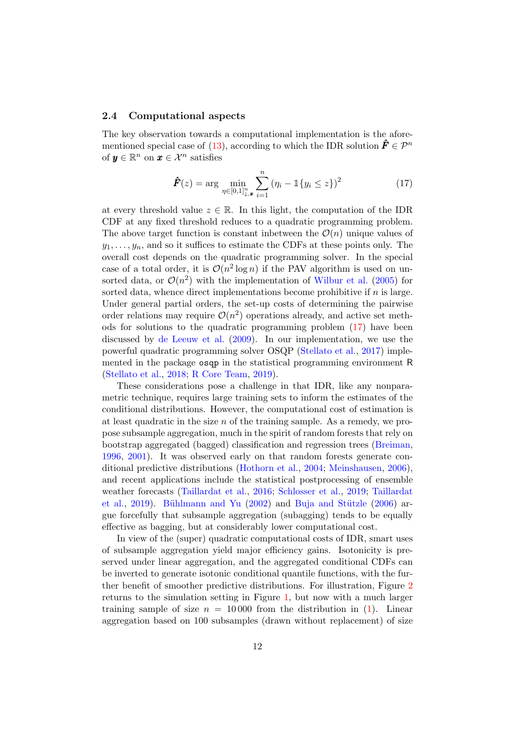#### 2.4 Computational aspects

The key observation towards a computational implementation is the aforementioned special case of (13), according to which the IDR solution  $\hat{F} \in \mathcal{P}^n$ of  $y \in \mathbb{R}^n$  on  $x \in \mathcal{X}^n$  satisfies

$$
\hat{F}(z) = \arg \min_{\eta \in [0,1]_{\downarrow,x}^n} \sum_{i=1}^n (\eta_i - \mathbb{1}\{y_i \le z\})^2
$$
 (17)

at every threshold value  $z \in \mathbb{R}$ . In this light, the computation of the IDR CDF at any fixed threshold reduces to a quadratic programming problem. The above target function is constant inbetween the  $\mathcal{O}(n)$  unique values of  $y_1, \ldots, y_n$ , and so it suffices to estimate the CDFs at these points only. The overall cost depends on the quadratic programming solver. In the special case of a total order, it is  $\mathcal{O}(n^2 \log n)$  if the PAV algorithm is used on unsorted data, or  $\mathcal{O}(n^2)$  with the implementation of Wilbur et al. (2005) for sorted data, whence direct implementations become prohibitive if  $n$  is large. Under general partial orders, the set-up costs of determining the pairwise order relations may require  $\mathcal{O}(n^2)$  operations already, and active set methods for solutions to the quadratic programming problem (17) have been discussed by de Leeuw et al. (2009). In our implementation, we use the powerful quadratic programming solver OSQP (Stellato et al., 2017) implemented in the package osqp in the statistical programming environment R (Stellato et al., 2018; R Core Team, 2019).

These considerations pose a challenge in that IDR, like any nonparametric technique, requires large training sets to inform the estimates of the conditional distributions. However, the computational cost of estimation is at least quadratic in the size  $n$  of the training sample. As a remedy, we propose subsample aggregation, much in the spirit of random forests that rely on bootstrap aggregated (bagged) classification and regression trees (Breiman, 1996, 2001). It was observed early on that random forests generate conditional predictive distributions (Hothorn et al., 2004; Meinshausen, 2006), and recent applications include the statistical postprocessing of ensemble weather forecasts (Taillardat et al., 2016; Schlosser et al., 2019; Taillardat et al., 2019). Bühlmann and Yu (2002) and Buja and Stützle (2006) argue forcefully that subsample aggregation (subagging) tends to be equally effective as bagging, but at considerably lower computational cost.

In view of the (super) quadratic computational costs of IDR, smart uses of subsample aggregation yield major efficiency gains. Isotonicity is preserved under linear aggregation, and the aggregated conditional CDFs can be inverted to generate isotonic conditional quantile functions, with the further benefit of smoother predictive distributions. For illustration, Figure 2 returns to the simulation setting in Figure 1, but now with a much larger training sample of size  $n = 10000$  from the distribution in (1). Linear aggregation based on 100 subsamples (drawn without replacement) of size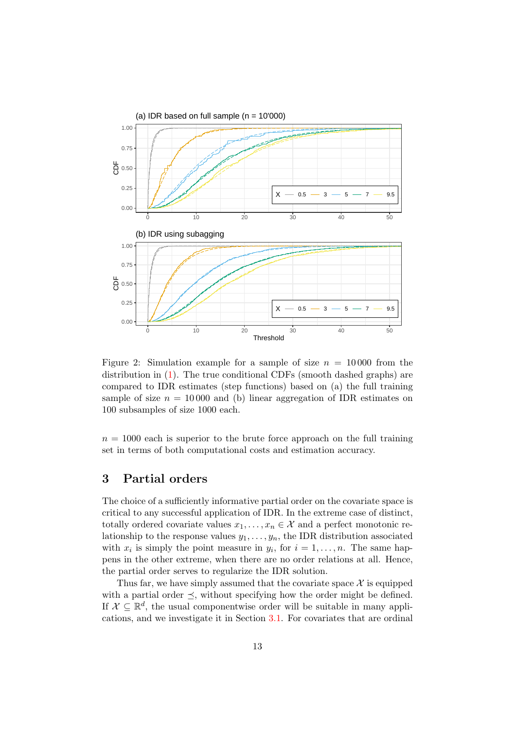

Figure 2: Simulation example for a sample of size  $n = 10000$  from the distribution in (1). The true conditional CDFs (smooth dashed graphs) are compared to IDR estimates (step functions) based on (a) the full training sample of size  $n = 10000$  and (b) linear aggregation of IDR estimates on 100 subsamples of size 1000 each.

 $n = 1000$  each is superior to the brute force approach on the full training set in terms of both computational costs and estimation accuracy.

# 3 Partial orders

The choice of a sufficiently informative partial order on the covariate space is critical to any successful application of IDR. In the extreme case of distinct, totally ordered covariate values  $x_1, \ldots, x_n \in \mathcal{X}$  and a perfect monotonic relationship to the response values  $y_1, \ldots, y_n$ , the IDR distribution associated with  $x_i$  is simply the point measure in  $y_i$ , for  $i = 1, \ldots, n$ . The same happens in the other extreme, when there are no order relations at all. Hence, the partial order serves to regularize the IDR solution.

Thus far, we have simply assumed that the covariate space  $\mathcal X$  is equipped with a partial order  $\preceq$ , without specifying how the order might be defined. If  $\mathcal{X} \subseteq \mathbb{R}^d$ , the usual componentwise order will be suitable in many applications, and we investigate it in Section 3.1. For covariates that are ordinal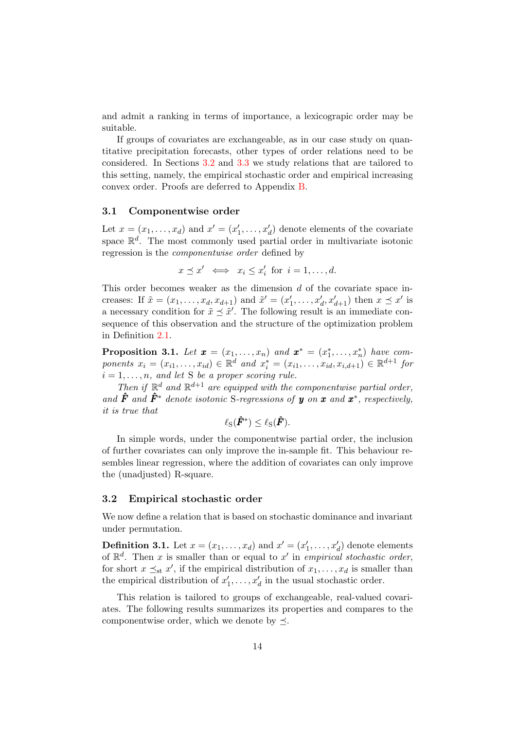and admit a ranking in terms of importance, a lexicograpic order may be suitable.

If groups of covariates are exchangeable, as in our case study on quantitative precipitation forecasts, other types of order relations need to be considered. In Sections 3.2 and 3.3 we study relations that are tailored to this setting, namely, the empirical stochastic order and empirical increasing convex order. Proofs are deferred to Appendix B.

#### 3.1 Componentwise order

Let  $x = (x_1, \ldots, x_d)$  and  $x' = (x'_1, \ldots, x'_d)$  denote elements of the covariate space  $\mathbb{R}^d$ . The most commonly used partial order in multivariate isotonic regression is the componentwise order defined by

$$
x \preceq x' \iff x_i \leq x'_i \text{ for } i = 1, \dots, d.
$$

This order becomes weaker as the dimension d of the covariate space increases: If  $\tilde{x} = (x_1, ..., x_d, x_{d+1})$  and  $\tilde{x}' = (x'_1, ..., x'_d, x'_{d+1})$  then  $x \leq x'$  is a necessary condition for  $\tilde{x} \preceq \tilde{x}'$ . The following result is an immediate consequence of this observation and the structure of the optimization problem in Definition 2.1.

**Proposition 3.1.** Let  $\boldsymbol{x} = (x_1, \ldots, x_n)$  and  $\boldsymbol{x}^* = (x_1^*, \ldots, x_n^*)$  have components  $x_i = (x_{i1},...,x_{id}) \in \mathbb{R}^d$  and  $x_i^* = (x_{i1},...,x_{id},x_{i,d+1}) \in \mathbb{R}^{d+1}$  for  $i = 1, \ldots, n$ , and let S be a proper scoring rule.

Then if  $\mathbb{R}^d$  and  $\mathbb{R}^{d+1}$  are equipped with the componentwise partial order, and  $\hat{F}$  and  $\hat{F}^*$  denote isotonic S-regressions of y on x and  $x^*$ , respectively, it is true that

$$
\ell_{\mathrm{S}}(\hat{\boldsymbol{F}}^*) \leq \ell_{\mathrm{S}}(\hat{\boldsymbol{F}}).
$$

In simple words, under the componentwise partial order, the inclusion of further covariates can only improve the in-sample fit. This behaviour resembles linear regression, where the addition of covariates can only improve the (unadjusted) R-square.

#### 3.2 Empirical stochastic order

We now define a relation that is based on stochastic dominance and invariant under permutation.

**Definition 3.1.** Let  $x = (x_1, \ldots, x_d)$  and  $x' = (x'_1, \ldots, x'_d)$  denote elements of  $\mathbb{R}^d$ . Then x is smaller than or equal to x' in empirical stochastic order, for short  $x \preceq_{st} x'$ , if the empirical distribution of  $x_1, \ldots, x_d$  is smaller than the empirical distribution of  $x'_1, \ldots, x'_d$  in the usual stochastic order.

This relation is tailored to groups of exchangeable, real-valued covariates. The following results summarizes its properties and compares to the componentwise order, which we denote by  $\preceq$ .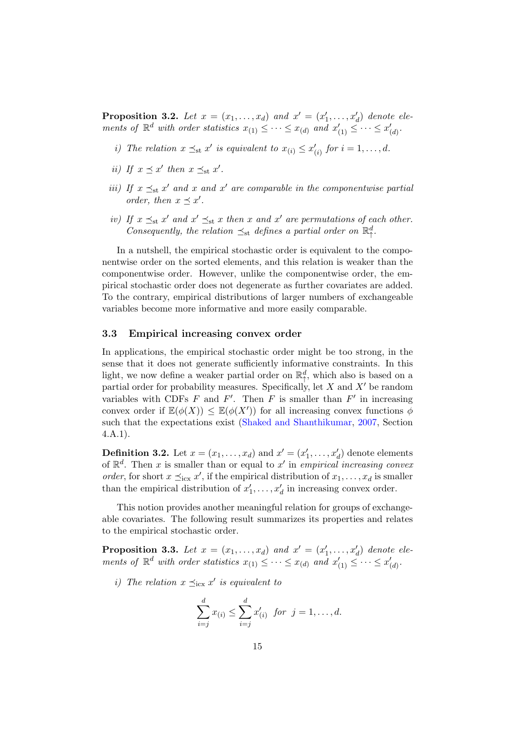**Proposition 3.2.** Let  $x = (x_1, \ldots, x_d)$  and  $x' = (x'_1, \ldots, x'_d)$  denote elements of  $\mathbb{R}^d$  with order statistics  $x_{(1)} \leq \cdots \leq x_{(d)}$  and  $x'_{(1)} \leq \cdots \leq x'_{(d)}$ .

- *i*) The relation  $x \preceq_{st} x'$  is equivalent to  $x_{(i)} \leq x'_{(i)}$  for  $i = 1, ..., d$ .
- ii) If  $x \preceq x'$  then  $x \preceq_{st} x'$ .
- iii) If  $x \preceq_{st} x'$  and  $x$  and  $x'$  are comparable in the componentwise partial order, then  $x \preceq x'$ .
- iv) If  $x \preceq_{st} x'$  and  $x' \preceq_{st} x$  then x and  $x'$  are permutations of each other. Consequently, the relation  $\preceq_{st}$  defines a partial order on  $\mathbb{R}^d$  $\frac{d}{\uparrow}$ .

In a nutshell, the empirical stochastic order is equivalent to the componentwise order on the sorted elements, and this relation is weaker than the componentwise order. However, unlike the componentwise order, the empirical stochastic order does not degenerate as further covariates are added. To the contrary, empirical distributions of larger numbers of exchangeable variables become more informative and more easily comparable.

#### 3.3 Empirical increasing convex order

In applications, the empirical stochastic order might be too strong, in the sense that it does not generate sufficiently informative constraints. In this light, we now define a weaker partial order on  $\mathbb{R}^d_+$ , which also is based on a partial order for probability measures. Specifically, let  $X$  and  $X'$  be random variables with CDFs  $F$  and  $F'$ . Then  $F$  is smaller than  $F'$  in increasing convex order if  $\mathbb{E}(\phi(X)) \leq \mathbb{E}(\phi(X'))$  for all increasing convex functions  $\phi$ such that the expectations exist (Shaked and Shanthikumar, 2007, Section 4.A.1).

**Definition 3.2.** Let  $x = (x_1, \ldots, x_d)$  and  $x' = (x'_1, \ldots, x'_d)$  denote elements of  $\mathbb{R}^d$ . Then x is smaller than or equal to x' in empirical increasing convex order, for short  $x \preceq_{\text{icx}} x'$ , if the empirical distribution of  $x_1, \ldots, x_d$  is smaller than the empirical distribution of  $x'_1, \ldots, x'_d$  in increasing convex order.

This notion provides another meaningful relation for groups of exchangeable covariates. The following result summarizes its properties and relates to the empirical stochastic order.

**Proposition 3.3.** Let  $x = (x_1, \ldots, x_d)$  and  $x' = (x'_1, \ldots, x'_d)$  denote elements of  $\mathbb{R}^d$  with order statistics  $x_{(1)} \leq \cdots \leq x_{(d)}$  and  $x'_{(1)} \leq \cdots \leq x'_{(d)}$ .

i) The relation  $x \preceq_{\text{icx}} x'$  is equivalent to

$$
\sum_{i=j}^{d} x_{(i)} \leq \sum_{i=j}^{d} x'_{(i)} \ \ \text{for} \ \ j = 1, \dots, d.
$$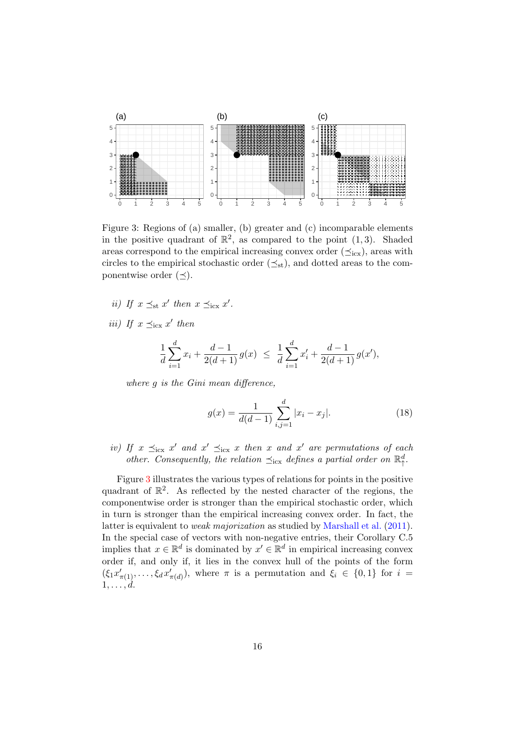

Figure 3: Regions of (a) smaller, (b) greater and (c) incomparable elements in the positive quadrant of  $\mathbb{R}^2$ , as compared to the point  $(1,3)$ . Shaded areas correspond to the empirical increasing convex order  $(\preceq_{icx})$ , areas with circles to the empirical stochastic order  $(\preceq_{st})$ , and dotted areas to the componentwise order  $(\prec)$ .

- ii) If  $x \preceq_{\text{st}} x'$  then  $x \preceq_{\text{icx}} x'$ .
- *iii*) If  $x \preceq_{\text{icx}} x'$  then

$$
\frac{1}{d} \sum_{i=1}^{d} x_i + \frac{d-1}{2(d+1)} g(x) \le \frac{1}{d} \sum_{i=1}^{d} x'_i + \frac{d-1}{2(d+1)} g(x'),
$$

where g is the Gini mean difference,

$$
g(x) = \frac{1}{d(d-1)} \sum_{i,j=1}^{d} |x_i - x_j|.
$$
 (18)

iv) If  $x \preceq_{\text{icx}} x'$  and  $x' \preceq_{\text{icx}} x$  then x and  $x'$  are permutations of each other. Consequently, the relation  $\preceq_{\text{icx}}$  defines a partial order on  $\mathbb{R}^d$  $\frac{d}{\uparrow}$ .

Figure 3 illustrates the various types of relations for points in the positive quadrant of  $\mathbb{R}^2$ . As reflected by the nested character of the regions, the componentwise order is stronger than the empirical stochastic order, which in turn is stronger than the empirical increasing convex order. In fact, the latter is equivalent to weak majorization as studied by Marshall et al. (2011). In the special case of vectors with non-negative entries, their Corollary C.5 implies that  $x \in \mathbb{R}^d$  is dominated by  $x' \in \mathbb{R}^d$  in empirical increasing convex order if, and only if, it lies in the convex hull of the points of the form  $(\xi_1 x'_{\pi(1)}, \ldots, \xi_d x'_{\pi(d)})$ , where  $\pi$  is a permutation and  $\xi_i \in \{0,1\}$  for  $i =$  $1, \ldots, d$ .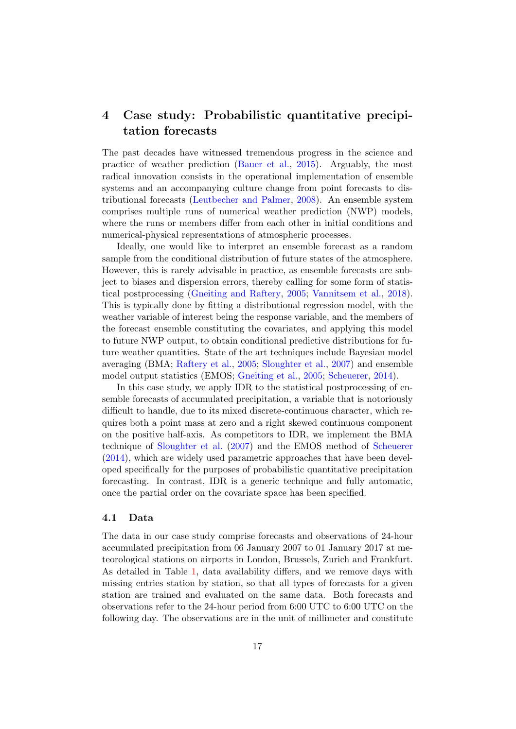# 4 Case study: Probabilistic quantitative precipitation forecasts

The past decades have witnessed tremendous progress in the science and practice of weather prediction (Bauer et al., 2015). Arguably, the most radical innovation consists in the operational implementation of ensemble systems and an accompanying culture change from point forecasts to distributional forecasts (Leutbecher and Palmer, 2008). An ensemble system comprises multiple runs of numerical weather prediction (NWP) models, where the runs or members differ from each other in initial conditions and numerical-physical representations of atmospheric processes.

Ideally, one would like to interpret an ensemble forecast as a random sample from the conditional distribution of future states of the atmosphere. However, this is rarely advisable in practice, as ensemble forecasts are subject to biases and dispersion errors, thereby calling for some form of statistical postprocessing (Gneiting and Raftery, 2005; Vannitsem et al., 2018). This is typically done by fitting a distributional regression model, with the weather variable of interest being the response variable, and the members of the forecast ensemble constituting the covariates, and applying this model to future NWP output, to obtain conditional predictive distributions for future weather quantities. State of the art techniques include Bayesian model averaging (BMA; Raftery et al., 2005; Sloughter et al., 2007) and ensemble model output statistics (EMOS; Gneiting et al., 2005; Scheuerer, 2014).

In this case study, we apply IDR to the statistical postprocessing of ensemble forecasts of accumulated precipitation, a variable that is notoriously difficult to handle, due to its mixed discrete-continuous character, which requires both a point mass at zero and a right skewed continuous component on the positive half-axis. As competitors to IDR, we implement the BMA technique of Sloughter et al. (2007) and the EMOS method of Scheuerer (2014), which are widely used parametric approaches that have been developed specifically for the purposes of probabilistic quantitative precipitation forecasting. In contrast, IDR is a generic technique and fully automatic, once the partial order on the covariate space has been specified.

#### 4.1 Data

The data in our case study comprise forecasts and observations of 24-hour accumulated precipitation from 06 January 2007 to 01 January 2017 at meteorological stations on airports in London, Brussels, Zurich and Frankfurt. As detailed in Table 1, data availability differs, and we remove days with missing entries station by station, so that all types of forecasts for a given station are trained and evaluated on the same data. Both forecasts and observations refer to the 24-hour period from 6:00 UTC to 6:00 UTC on the following day. The observations are in the unit of millimeter and constitute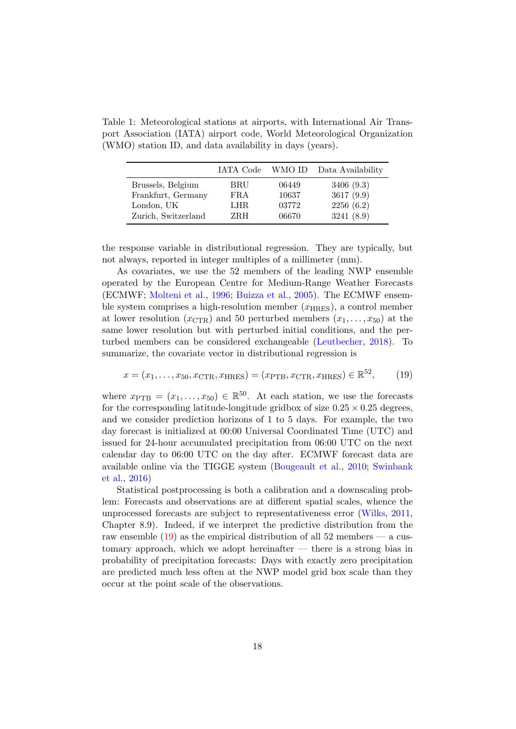Table 1: Meteorological stations at airports, with International Air Transport Association (IATA) airport code, World Meteorological Organization (WMO) station ID, and data availability in days (years).

|                     | IATA Code | WMO ID | Data Availability |
|---------------------|-----------|--------|-------------------|
| Brussels, Belgium   | BRU       | 06449  | 3406(9.3)         |
| Frankfurt, Germany  | FRA       | 10637  | 3617 (9.9)        |
| London, UK          | LHR.      | 03772  | 2256(6.2)         |
| Zurich, Switzerland | ZRH       | 06670  | 3241(8.9)         |

the response variable in distributional regression. They are typically, but not always, reported in integer multiples of a millimeter (mm).

As covariates, we use the 52 members of the leading NWP ensemble operated by the European Centre for Medium-Range Weather Forecasts (ECMWF; Molteni et al., 1996; Buizza et al., 2005). The ECMWF ensemble system comprises a high-resolution member  $(x_{\text{HRES}})$ , a control member at lower resolution  $(x_{\text{CTR}})$  and 50 perturbed members  $(x_1, \ldots, x_{50})$  at the same lower resolution but with perturbed initial conditions, and the perturbed members can be considered exchangeable (Leutbecher, 2018). To summarize, the covariate vector in distributional regression is

$$
x = (x_1, \dots, x_{50}, x_{\text{CTR}}, x_{\text{HRES}}) = (x_{\text{PTB}}, x_{\text{CTR}}, x_{\text{HRES}}) \in \mathbb{R}^{52},\tag{19}
$$

where  $x_{\text{PTB}} = (x_1, \ldots, x_{50}) \in \mathbb{R}^{50}$ . At each station, we use the forecasts for the corresponding latitude-longitude gridbox of size  $0.25 \times 0.25$  degrees, and we consider prediction horizons of 1 to 5 days. For example, the two day forecast is initialized at 00:00 Universal Coordinated Time (UTC) and issued for 24-hour accumulated precipitation from 06:00 UTC on the next calendar day to 06:00 UTC on the day after. ECMWF forecast data are available online via the TIGGE system (Bougeault et al., 2010; Swinbank et al., 2016)

Statistical postprocessing is both a calibration and a downscaling problem: Forecasts and observations are at different spatial scales, whence the unprocessed forecasts are subject to representativeness error (Wilks, 2011, Chapter 8.9). Indeed, if we interpret the predictive distribution from the raw ensemble  $(19)$  as the empirical distribution of all 52 members — a customary approach, which we adopt hereinafter — there is a strong bias in probability of precipitation forecasts: Days with exactly zero precipitation are predicted much less often at the NWP model grid box scale than they occur at the point scale of the observations.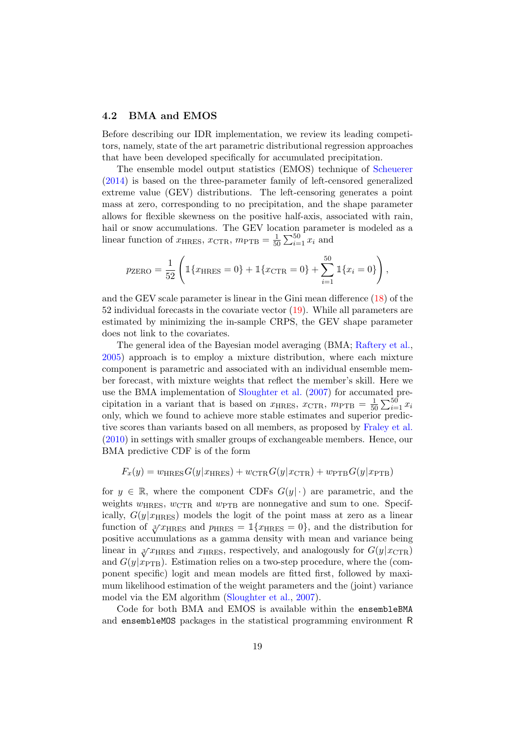#### 4.2 BMA and EMOS

Before describing our IDR implementation, we review its leading competitors, namely, state of the art parametric distributional regression approaches that have been developed specifically for accumulated precipitation.

The ensemble model output statistics (EMOS) technique of Scheuerer (2014) is based on the three-parameter family of left-censored generalized extreme value (GEV) distributions. The left-censoring generates a point mass at zero, corresponding to no precipitation, and the shape parameter allows for flexible skewness on the positive half-axis, associated with rain, hail or snow accumulations. The GEV location parameter is modeled as a linear function of  $x_{\text{HRES}}, x_{\text{CTR}}, m_{\text{PTB}} = \frac{1}{50}$  $\frac{1}{50} \sum_{i=1}^{50} x_i$  and

$$
p_{\text{ZERO}} = \frac{1}{52} \left( \mathbb{1} \{ x_{\text{HRES}} = 0 \} + \mathbb{1} \{ x_{\text{CTR}} = 0 \} + \sum_{i=1}^{50} \mathbb{1} \{ x_i = 0 \} \right),
$$

and the GEV scale parameter is linear in the Gini mean difference (18) of the 52 individual forecasts in the covariate vector (19). While all parameters are estimated by minimizing the in-sample CRPS, the GEV shape parameter does not link to the covariates.

The general idea of the Bayesian model averaging (BMA; Raftery et al., 2005) approach is to employ a mixture distribution, where each mixture component is parametric and associated with an individual ensemble member forecast, with mixture weights that reflect the member's skill. Here we use the BMA implementation of Sloughter et al. (2007) for accumated precipitation in a variant that is based on  $x_{\text{HRES}}, x_{\text{CTR}}, m_{\text{PTB}} = \frac{1}{50}$  $rac{1}{50} \sum_{i=1}^{50} x_i$ only, which we found to achieve more stable estimates and superior predictive scores than variants based on all members, as proposed by Fraley et al. (2010) in settings with smaller groups of exchangeable members. Hence, our BMA predictive CDF is of the form

$$
F_x(y) = w_{\text{HRES}} G(y|x_{\text{HRES}}) + w_{\text{CTR}} G(y|x_{\text{CTR}}) + w_{\text{PTB}} G(y|x_{\text{PTB}})
$$

for  $y \in \mathbb{R}$ , where the component CDFs  $G(y|\cdot)$  are parametric, and the weights  $w_{\text{HRES}}$ ,  $w_{\text{CTR}}$  and  $w_{\text{PTB}}$  are nonnegative and sum to one. Specifically,  $G(y|x_{\text{HRES}})$  models the logit of the point mass at zero as a linear function of  $\sqrt[3]{x_{\text{HRES}}}$  and  $p_{\text{HRES}} = \mathbb{1}\{x_{\text{HRES}} = 0\}$ , and the distribution for positive accumulations as a gamma density with mean and variance being linear in  $\sqrt[3]{x_{\text{HRES}}}$  and  $x_{\text{HRES}}$ , respectively, and analogously for  $G(y|x_{\text{CTR}})$ and  $G(y|x_{\text{PTB}})$ . Estimation relies on a two-step procedure, where the (component specific) logit and mean models are fitted first, followed by maximum likelihood estimation of the weight parameters and the (joint) variance model via the EM algorithm (Sloughter et al., 2007).

Code for both BMA and EMOS is available within the ensembleBMA and ensembleMOS packages in the statistical programming environment R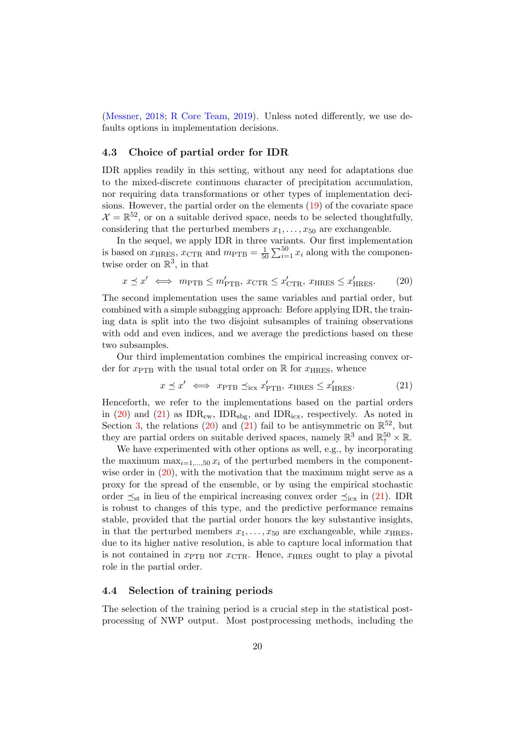(Messner, 2018; R Core Team, 2019). Unless noted differently, we use defaults options in implementation decisions.

#### 4.3 Choice of partial order for IDR

IDR applies readily in this setting, without any need for adaptations due to the mixed-discrete continuous character of precipitation accumulation, nor requiring data transformations or other types of implementation decisions. However, the partial order on the elements (19) of the covariate space  $\mathcal{X} = \mathbb{R}^{52}$ , or on a suitable derived space, needs to be selected thoughtfully, considering that the perturbed members  $x_1, \ldots, x_{50}$  are exchangeable.

In the sequel, we apply IDR in three variants. Our first implementation is based on  $x_{\text{HRES}}, x_{\text{CTR}}$  and  $m_{\text{PTB}} = \frac{1}{50}$  $\frac{1}{50} \sum_{i=1}^{50} x_i$  along with the componentwise order on  $\mathbb{R}^3$ , in that

$$
x \preceq x' \iff m_{\text{PTB}} \le m'_{\text{PTB}}, \ x_{\text{CTR}} \le x'_{\text{CTR}}, \ x_{\text{HRES}} \le x'_{\text{HRES}}.
$$
 (20)

The second implementation uses the same variables and partial order, but combined with a simple subagging approach: Before applying IDR, the training data is split into the two disjoint subsamples of training observations with odd and even indices, and we average the predictions based on these two subsamples.

Our third implementation combines the empirical increasing convex order for  $x_{\text{PTB}}$  with the usual total order on R for  $x_{\text{HRES}}$ , whence

$$
x \preceq x' \iff x_{\text{PTB}} \preceq_{\text{icx}} x'_{\text{PTB}}, x_{\text{HRES}} \le x'_{\text{HRES}}.
$$
 (21)

Henceforth, we refer to the implementations based on the partial orders in (20) and (21) as  $IDR_{cw}$ ,  $IDR_{sbg}$ , and  $IDR_{icx}$ , respectively. As noted in Section 3, the relations (20) and (21) fail to be antisymmetric on  $\mathbb{R}^{52}$ , but they are partial orders on suitable derived spaces, namely  $\mathbb{R}^3$  and  $\mathbb{R}^{50} \times \mathbb{R}$ .

We have experimented with other options as well, e.g., by incorporating the maximum  $\max_{i=1,\dots,50} x_i$  of the perturbed members in the componentwise order in  $(20)$ , with the motivation that the maximum might serve as a proxy for the spread of the ensemble, or by using the empirical stochastic order  $\preceq_{st}$  in lieu of the empirical increasing convex order  $\preceq_{icx}$  in (21). IDR is robust to changes of this type, and the predictive performance remains stable, provided that the partial order honors the key substantive insights, in that the perturbed members  $x_1, \ldots, x_{50}$  are exchangeable, while  $x_{\text{HRES}}$ , due to its higher native resolution, is able to capture local information that is not contained in  $x_{\text{PTB}}$  nor  $x_{\text{CTR}}$ . Hence,  $x_{\text{HRES}}$  ought to play a pivotal role in the partial order.

### 4.4 Selection of training periods

The selection of the training period is a crucial step in the statistical postprocessing of NWP output. Most postprocessing methods, including the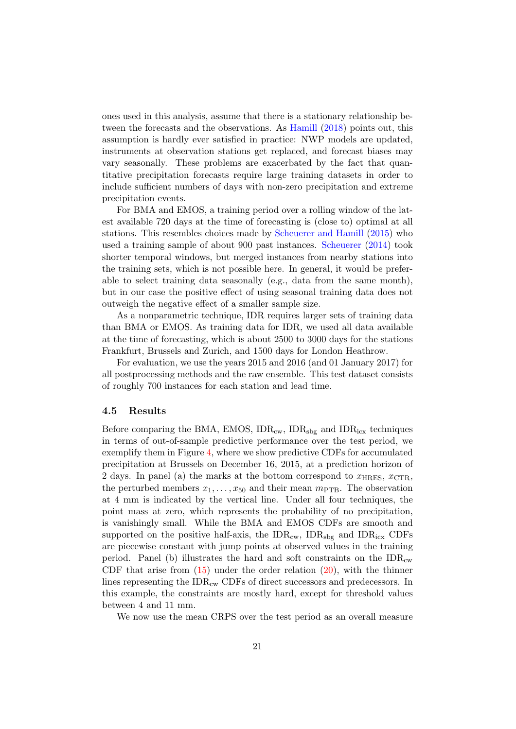ones used in this analysis, assume that there is a stationary relationship between the forecasts and the observations. As Hamill (2018) points out, this assumption is hardly ever satisfied in practice: NWP models are updated, instruments at observation stations get replaced, and forecast biases may vary seasonally. These problems are exacerbated by the fact that quantitative precipitation forecasts require large training datasets in order to include sufficient numbers of days with non-zero precipitation and extreme precipitation events.

For BMA and EMOS, a training period over a rolling window of the latest available 720 days at the time of forecasting is (close to) optimal at all stations. This resembles choices made by Scheuerer and Hamill (2015) who used a training sample of about 900 past instances. Scheuerer (2014) took shorter temporal windows, but merged instances from nearby stations into the training sets, which is not possible here. In general, it would be preferable to select training data seasonally (e.g., data from the same month), but in our case the positive effect of using seasonal training data does not outweigh the negative effect of a smaller sample size.

As a nonparametric technique, IDR requires larger sets of training data than BMA or EMOS. As training data for IDR, we used all data available at the time of forecasting, which is about 2500 to 3000 days for the stations Frankfurt, Brussels and Zurich, and 1500 days for London Heathrow.

For evaluation, we use the years 2015 and 2016 (and 01 January 2017) for all postprocessing methods and the raw ensemble. This test dataset consists of roughly 700 instances for each station and lead time.

#### 4.5 Results

Before comparing the BMA, EMOS,  $IDR_{cw}$ ,  $IDR_{sbg}$  and  $IDR_{icx}$  techniques in terms of out-of-sample predictive performance over the test period, we exemplify them in Figure 4, where we show predictive CDFs for accumulated precipitation at Brussels on December 16, 2015, at a prediction horizon of 2 days. In panel (a) the marks at the bottom correspond to  $x_{\text{HRES}}, x_{\text{CTR}},$ the perturbed members  $x_1, \ldots, x_{50}$  and their mean  $m_{\text{PTB}}$ . The observation at 4 mm is indicated by the vertical line. Under all four techniques, the point mass at zero, which represents the probability of no precipitation, is vanishingly small. While the BMA and EMOS CDFs are smooth and supported on the positive half-axis, the  $IDR_{cw}$ ,  $IDR_{sbg}$  and  $IDR_{icx}$  CDFs are piecewise constant with jump points at observed values in the training period. Panel (b) illustrates the hard and soft constraints on the  $IDR_{cw}$ CDF that arise from  $(15)$  under the order relation  $(20)$ , with the thinner lines representing the IDR<sub>cw</sub> CDFs of direct successors and predecessors. In this example, the constraints are mostly hard, except for threshold values between 4 and 11 mm.

We now use the mean CRPS over the test period as an overall measure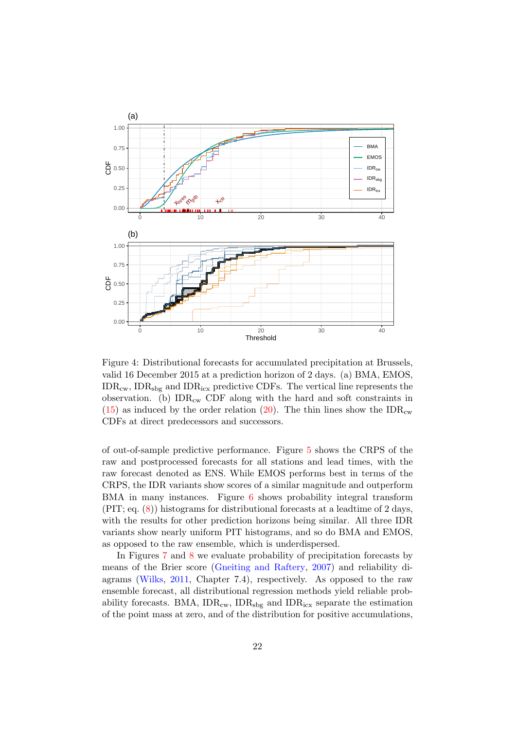

Figure 4: Distributional forecasts for accumulated precipitation at Brussels, valid 16 December 2015 at a prediction horizon of 2 days. (a) BMA, EMOS,  $IDR<sub>cw</sub>$ ,  $IDR<sub>sbg</sub>$  and  $IDR<sub>icx</sub>$  predictive CDFs. The vertical line represents the observation. (b)  $IDR_{cw}$  CDF along with the hard and soft constraints in  $(15)$  as induced by the order relation (20). The thin lines show the IDR<sub>cw</sub> CDFs at direct predecessors and successors.

of out-of-sample predictive performance. Figure 5 shows the CRPS of the raw and postprocessed forecasts for all stations and lead times, with the raw forecast denoted as ENS. While EMOS performs best in terms of the CRPS, the IDR variants show scores of a similar magnitude and outperform BMA in many instances. Figure 6 shows probability integral transform (PIT; eq. (8)) histograms for distributional forecasts at a leadtime of 2 days, with the results for other prediction horizons being similar. All three IDR variants show nearly uniform PIT histograms, and so do BMA and EMOS, as opposed to the raw ensemble, which is underdispersed.

In Figures 7 and 8 we evaluate probability of precipitation forecasts by means of the Brier score (Gneiting and Raftery, 2007) and reliability diagrams (Wilks, 2011, Chapter 7.4), respectively. As opposed to the raw ensemble forecast, all distributional regression methods yield reliable probability forecasts. BMA,  $IDR_{cw}$ ,  $IDR_{sbg}$  and  $IDR_{icx}$  separate the estimation of the point mass at zero, and of the distribution for positive accumulations,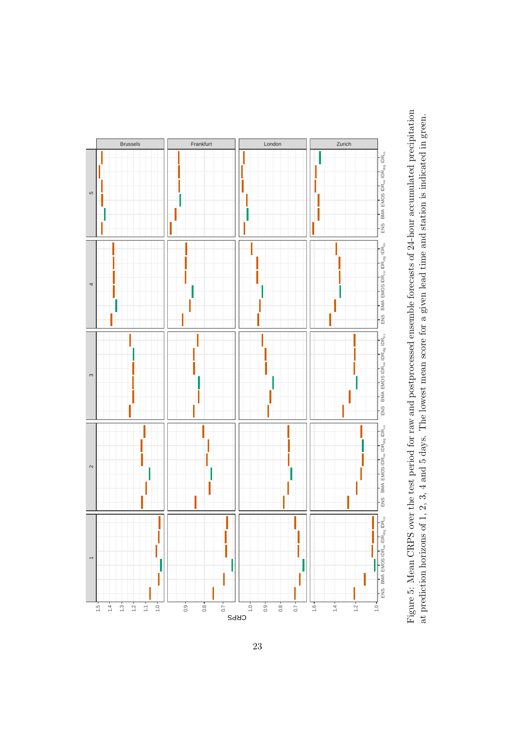

Figure 5: Mean CRPS over the test period for raw and postprocessed ensemble forecasts of 24-hour accumulated precipitation Figure 5: Mean CRPS over the test period for raw and postprocessed ensemble forecasts of 24-hour accumulated precipitation at prediction horizons of 1, 2, 3, 4 and 5 days. The lowest mean score for a given lead time and station is indicated in green. at prediction horizons of 1, 2, 3, 4 and 5 days. The lowest mean score for a given lead time and station is indicated in green.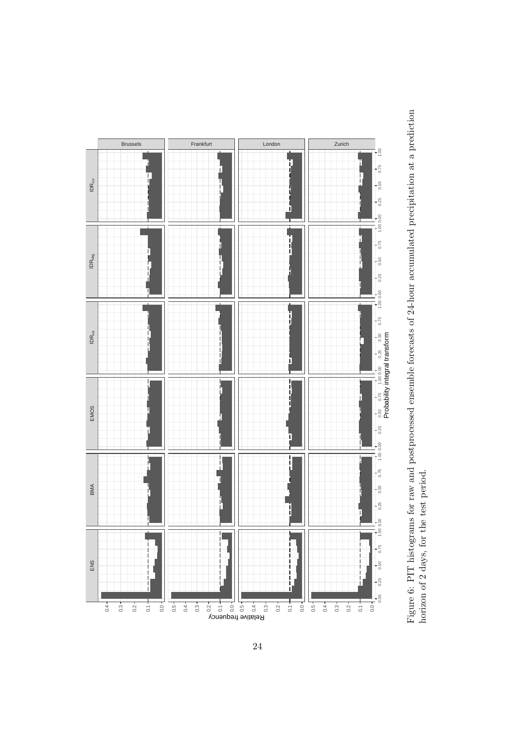

Figure 6: PIT histograms for raw and postprocessed ensemble forecasts of 24-hour accumulated precipitation at a prediction Figure 6: PIT histograms for raw and postprocessed ensemble forecasts of 24-hour accumulated precipitation at a prediction horizon of 2 days, for the test period. horizon of 2 days, for the test period.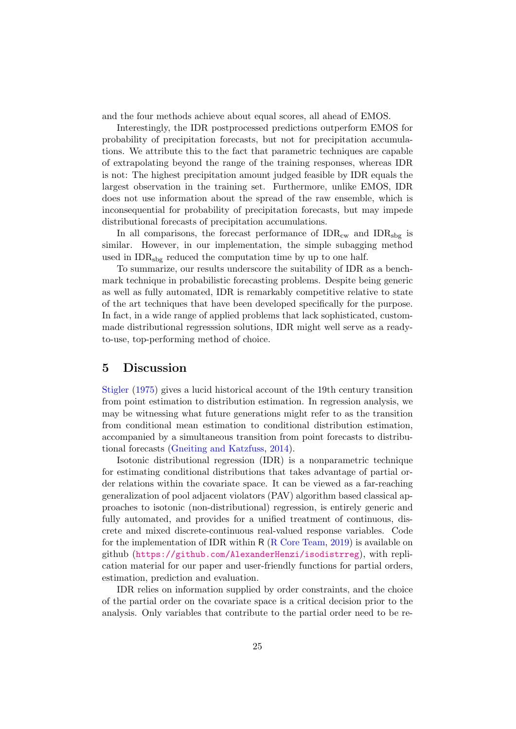and the four methods achieve about equal scores, all ahead of EMOS.

Interestingly, the IDR postprocessed predictions outperform EMOS for probability of precipitation forecasts, but not for precipitation accumulations. We attribute this to the fact that parametric techniques are capable of extrapolating beyond the range of the training responses, whereas IDR is not: The highest precipitation amount judged feasible by IDR equals the largest observation in the training set. Furthermore, unlike EMOS, IDR does not use information about the spread of the raw ensemble, which is inconsequential for probability of precipitation forecasts, but may impede distributional forecasts of precipitation accumulations.

In all comparisons, the forecast performance of  $IDR_{cw}$  and  $IDR_{sbg}$  is similar. However, in our implementation, the simple subagging method used in  $IDR<sub>sbg</sub>$  reduced the computation time by up to one half.

To summarize, our results underscore the suitability of IDR as a benchmark technique in probabilistic forecasting problems. Despite being generic as well as fully automated, IDR is remarkably competitive relative to state of the art techniques that have been developed specifically for the purpose. In fact, in a wide range of applied problems that lack sophisticated, custommade distributional regresssion solutions, IDR might well serve as a readyto-use, top-performing method of choice.

### 5 Discussion

Stigler (1975) gives a lucid historical account of the 19th century transition from point estimation to distribution estimation. In regression analysis, we may be witnessing what future generations might refer to as the transition from conditional mean estimation to conditional distribution estimation, accompanied by a simultaneous transition from point forecasts to distributional forecasts (Gneiting and Katzfuss, 2014).

Isotonic distributional regression (IDR) is a nonparametric technique for estimating conditional distributions that takes advantage of partial order relations within the covariate space. It can be viewed as a far-reaching generalization of pool adjacent violators (PAV) algorithm based classical approaches to isotonic (non-distributional) regression, is entirely generic and fully automated, and provides for a unified treatment of continuous, discrete and mixed discrete-continuous real-valued response variables. Code for the implementation of IDR within  $R(R)$  Core Team, 2019) is available on github (https://github.com/AlexanderHenzi/isodistrreg), with replication material for our paper and user-friendly functions for partial orders, estimation, prediction and evaluation.

IDR relies on information supplied by order constraints, and the choice of the partial order on the covariate space is a critical decision prior to the analysis. Only variables that contribute to the partial order need to be re-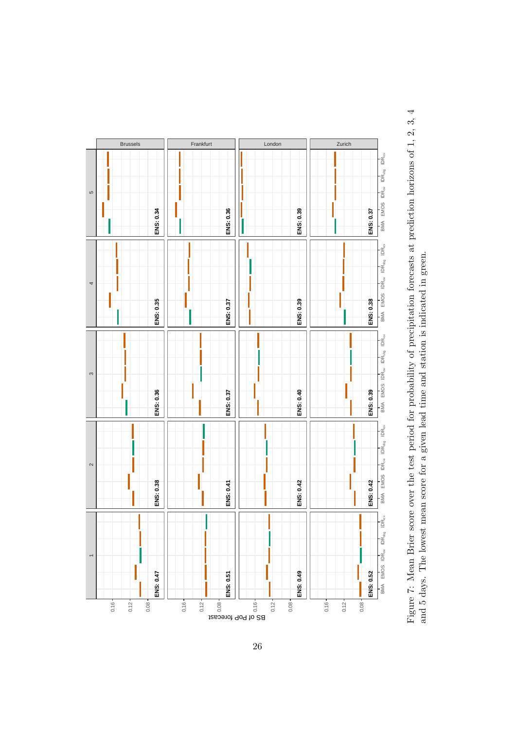

Figure 7: Mean Brier score over the test period for probability of precipitation forecasts at prediction horizons of 1, 2, 3, 4 Figure 7: Mean Brier score over the test period for probability of precipitation forecasts at prediction horizons of 1, 2, 3, 4 and 5 days. The lowest mean score for a given lead time and station is indicated in green. and 5 days. The lowest mean score for a given lead time and station is indicated in green.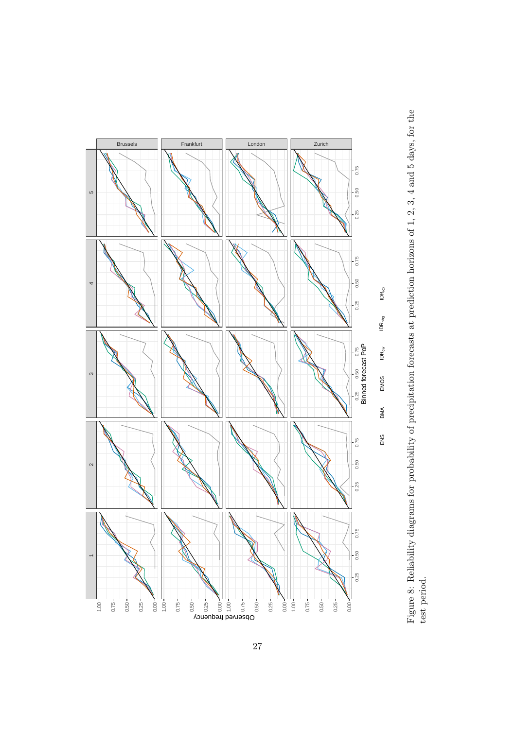

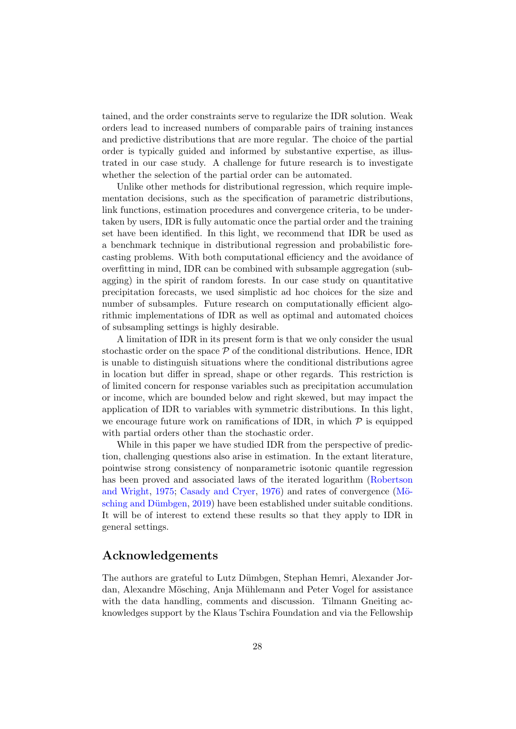tained, and the order constraints serve to regularize the IDR solution. Weak orders lead to increased numbers of comparable pairs of training instances and predictive distributions that are more regular. The choice of the partial order is typically guided and informed by substantive expertise, as illustrated in our case study. A challenge for future research is to investigate whether the selection of the partial order can be automated.

Unlike other methods for distributional regression, which require implementation decisions, such as the specification of parametric distributions, link functions, estimation procedures and convergence criteria, to be undertaken by users, IDR is fully automatic once the partial order and the training set have been identified. In this light, we recommend that IDR be used as a benchmark technique in distributional regression and probabilistic forecasting problems. With both computational efficiency and the avoidance of overfitting in mind, IDR can be combined with subsample aggregation (subagging) in the spirit of random forests. In our case study on quantitative precipitation forecasts, we used simplistic ad hoc choices for the size and number of subsamples. Future research on computationally efficient algorithmic implementations of IDR as well as optimal and automated choices of subsampling settings is highly desirable.

A limitation of IDR in its present form is that we only consider the usual stochastic order on the space  $P$  of the conditional distributions. Hence, IDR is unable to distinguish situations where the conditional distributions agree in location but differ in spread, shape or other regards. This restriction is of limited concern for response variables such as precipitation accumulation or income, which are bounded below and right skewed, but may impact the application of IDR to variables with symmetric distributions. In this light, we encourage future work on ramifications of IDR, in which  $P$  is equipped with partial orders other than the stochastic order.

While in this paper we have studied IDR from the perspective of prediction, challenging questions also arise in estimation. In the extant literature, pointwise strong consistency of nonparametric isotonic quantile regression has been proved and associated laws of the iterated logarithm (Robertson and Wright,  $1975$ ; Casady and Cryer,  $1976$ ) and rates of convergence (Mösching and Dümbgen, 2019) have been established under suitable conditions. It will be of interest to extend these results so that they apply to IDR in general settings.

# Acknowledgements

The authors are grateful to Lutz Dümbgen, Stephan Hemri, Alexander Jordan, Alexandre Mösching, Anja Mühlemann and Peter Vogel for assistance with the data handling, comments and discussion. Tilmann Gneiting acknowledges support by the Klaus Tschira Foundation and via the Fellowship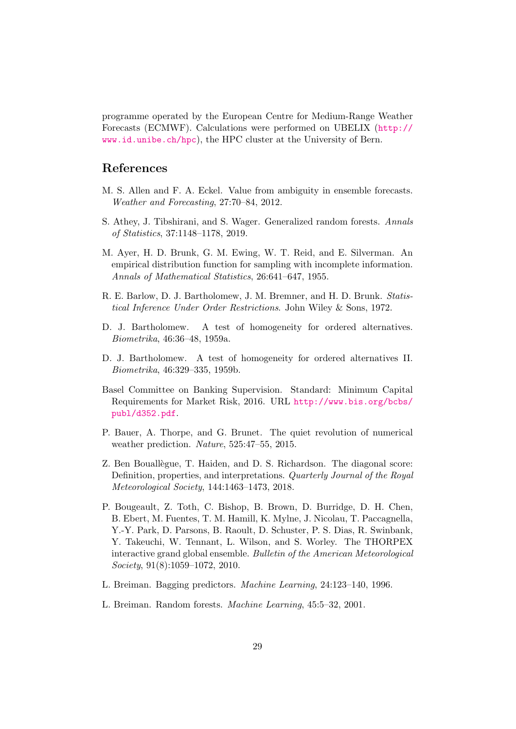programme operated by the European Centre for Medium-Range Weather Forecasts (ECMWF). Calculations were performed on UBELIX (http:// www.id.unibe.ch/hpc), the HPC cluster at the University of Bern.

## References

- M. S. Allen and F. A. Eckel. Value from ambiguity in ensemble forecasts. Weather and Forecasting, 27:70–84, 2012.
- S. Athey, J. Tibshirani, and S. Wager. Generalized random forests. Annals of Statistics, 37:1148–1178, 2019.
- M. Ayer, H. D. Brunk, G. M. Ewing, W. T. Reid, and E. Silverman. An empirical distribution function for sampling with incomplete information. Annals of Mathematical Statistics, 26:641–647, 1955.
- R. E. Barlow, D. J. Bartholomew, J. M. Bremner, and H. D. Brunk. Statistical Inference Under Order Restrictions. John Wiley & Sons, 1972.
- D. J. Bartholomew. A test of homogeneity for ordered alternatives. Biometrika, 46:36–48, 1959a.
- D. J. Bartholomew. A test of homogeneity for ordered alternatives II. Biometrika, 46:329–335, 1959b.
- Basel Committee on Banking Supervision. Standard: Minimum Capital Requirements for Market Risk, 2016. URL http://www.bis.org/bcbs/ publ/d352.pdf.
- P. Bauer, A. Thorpe, and G. Brunet. The quiet revolution of numerical weather prediction. Nature, 525:47–55, 2015.
- Z. Ben Bouallégue, T. Haiden, and D. S. Richardson. The diagonal score: Definition, properties, and interpretations. Quarterly Journal of the Royal Meteorological Society, 144:1463–1473, 2018.
- P. Bougeault, Z. Toth, C. Bishop, B. Brown, D. Burridge, D. H. Chen, B. Ebert, M. Fuentes, T. M. Hamill, K. Mylne, J. Nicolau, T. Paccagnella, Y.-Y. Park, D. Parsons, B. Raoult, D. Schuster, P. S. Dias, R. Swinbank, Y. Takeuchi, W. Tennant, L. Wilson, and S. Worley. The THORPEX interactive grand global ensemble. Bulletin of the American Meteorological Society, 91(8):1059–1072, 2010.
- L. Breiman. Bagging predictors. Machine Learning, 24:123–140, 1996.
- L. Breiman. Random forests. Machine Learning, 45:5–32, 2001.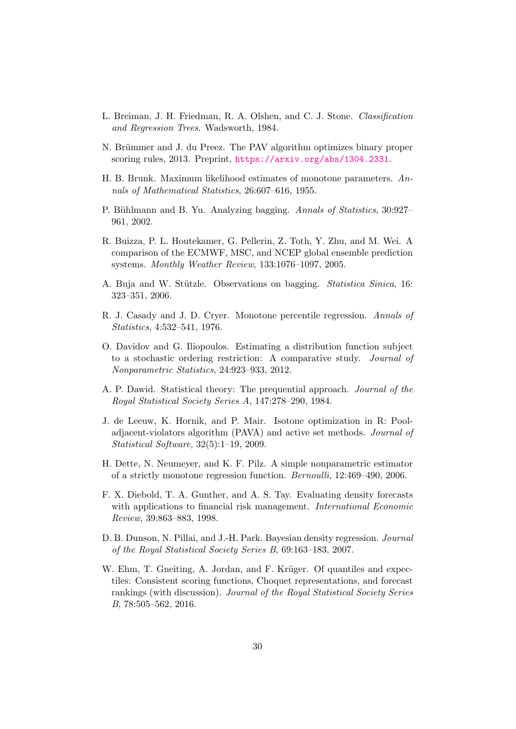- L. Breiman, J. H. Friedman, R. A. Olshen, and C. J. Stone. Classification and Regression Trees. Wadsworth, 1984.
- N. Brümmer and J. du Preez. The PAV algorithm optimizes binary proper scoring rules, 2013. Preprint, https://arxiv.org/abs/1304.2331.
- H. B. Brunk. Maximum likelihood estimates of monotone parameters.  $An$ nals of Mathematical Statistics, 26:607–616, 1955.
- P. Bühlmann and B. Yu. Analyzing bagging. Annals of Statistics, 30:927– 961, 2002.
- R. Buizza, P. L. Houtekamer, G. Pellerin, Z. Toth, Y. Zhu, and M. Wei. A comparison of the ECMWF, MSC, and NCEP global ensemble prediction systems. Monthly Weather Review, 133:1076–1097, 2005.
- A. Buja and W. Stützle. Observations on bagging. *Statistica Sinica*, 16: 323–351, 2006.
- R. J. Casady and J. D. Cryer. Monotone percentile regression. Annals of Statistics, 4:532–541, 1976.
- O. Davidov and G. Iliopoulos. Estimating a distribution function subject to a stochastic ordering restriction: A comparative study. Journal of Nonparametric Statistics, 24:923–933, 2012.
- A. P. Dawid. Statistical theory: The prequential approach. Journal of the Royal Statistical Society Series A, 147:278–290, 1984.
- J. de Leeuw, K. Hornik, and P. Mair. Isotone optimization in R: Pooladjacent-violators algorithm (PAVA) and active set methods. Journal of Statistical Software, 32(5):1–19, 2009.
- H. Dette, N. Neumeyer, and K. F. Pilz. A simple nonparametric estimator of a strictly monotone regression function. Bernoulli, 12:469–490, 2006.
- F. X. Diebold, T. A. Gunther, and A. S. Tay. Evaluating density forecasts with applications to financial risk management. *International Economic* Review, 39:863–883, 1998.
- D. B. Dunson, N. Pillai, and J.-H. Park. Bayesian density regression. Journal of the Royal Statistical Society Series B, 69:163–183, 2007.
- W. Ehm, T. Gneiting, A. Jordan, and F. Krüger. Of quantiles and expectiles: Consistent scoring functions, Choquet representations, and forecast rankings (with discussion). Journal of the Royal Statistical Society Series B, 78:505–562, 2016.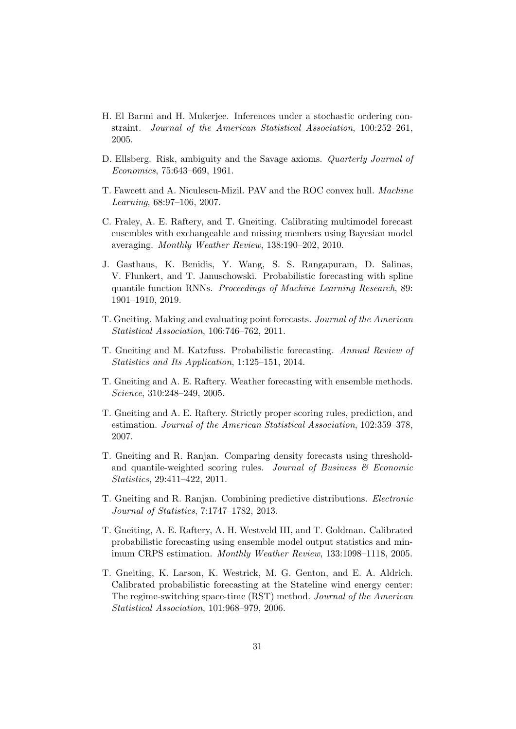- H. El Barmi and H. Mukerjee. Inferences under a stochastic ordering constraint. Journal of the American Statistical Association, 100:252–261, 2005.
- D. Ellsberg. Risk, ambiguity and the Savage axioms. Quarterly Journal of Economics, 75:643–669, 1961.
- T. Fawcett and A. Niculescu-Mizil. PAV and the ROC convex hull. Machine Learning, 68:97–106, 2007.
- C. Fraley, A. E. Raftery, and T. Gneiting. Calibrating multimodel forecast ensembles with exchangeable and missing members using Bayesian model averaging. Monthly Weather Review, 138:190–202, 2010.
- J. Gasthaus, K. Benidis, Y. Wang, S. S. Rangapuram, D. Salinas, V. Flunkert, and T. Januschowski. Probabilistic forecasting with spline quantile function RNNs. Proceedings of Machine Learning Research, 89: 1901–1910, 2019.
- T. Gneiting. Making and evaluating point forecasts. Journal of the American Statistical Association, 106:746–762, 2011.
- T. Gneiting and M. Katzfuss. Probabilistic forecasting. Annual Review of Statistics and Its Application, 1:125–151, 2014.
- T. Gneiting and A. E. Raftery. Weather forecasting with ensemble methods. Science, 310:248–249, 2005.
- T. Gneiting and A. E. Raftery. Strictly proper scoring rules, prediction, and estimation. Journal of the American Statistical Association, 102:359–378, 2007.
- T. Gneiting and R. Ranjan. Comparing density forecasts using thresholdand quantile-weighted scoring rules. Journal of Business  $\mathcal B$  Economic Statistics, 29:411–422, 2011.
- T. Gneiting and R. Ranjan. Combining predictive distributions. Electronic Journal of Statistics, 7:1747–1782, 2013.
- T. Gneiting, A. E. Raftery, A. H. Westveld III, and T. Goldman. Calibrated probabilistic forecasting using ensemble model output statistics and minimum CRPS estimation. Monthly Weather Review, 133:1098–1118, 2005.
- T. Gneiting, K. Larson, K. Westrick, M. G. Genton, and E. A. Aldrich. Calibrated probabilistic forecasting at the Stateline wind energy center: The regime-switching space-time (RST) method. Journal of the American Statistical Association, 101:968–979, 2006.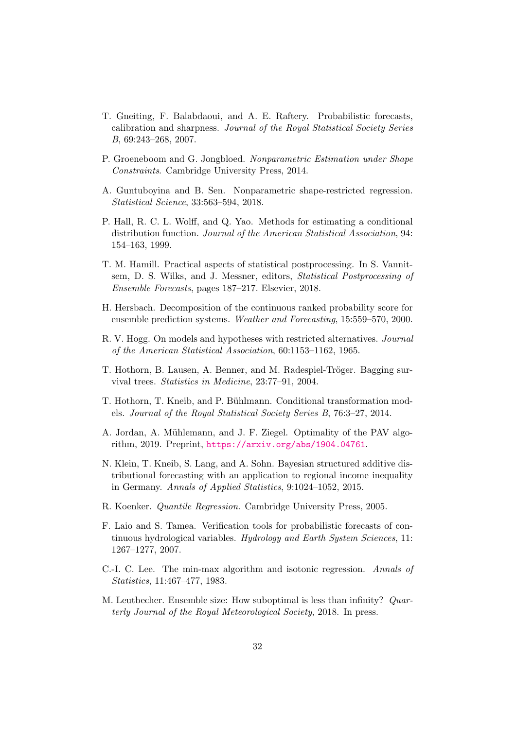- T. Gneiting, F. Balabdaoui, and A. E. Raftery. Probabilistic forecasts, calibration and sharpness. Journal of the Royal Statistical Society Series B, 69:243–268, 2007.
- P. Groeneboom and G. Jongbloed. Nonparametric Estimation under Shape Constraints. Cambridge University Press, 2014.
- A. Guntuboyina and B. Sen. Nonparametric shape-restricted regression. Statistical Science, 33:563–594, 2018.
- P. Hall, R. C. L. Wolff, and Q. Yao. Methods for estimating a conditional distribution function. Journal of the American Statistical Association, 94: 154–163, 1999.
- T. M. Hamill. Practical aspects of statistical postprocessing. In S. Vannitsem, D. S. Wilks, and J. Messner, editors, Statistical Postprocessing of Ensemble Forecasts, pages 187–217. Elsevier, 2018.
- H. Hersbach. Decomposition of the continuous ranked probability score for ensemble prediction systems. Weather and Forecasting, 15:559–570, 2000.
- R. V. Hogg. On models and hypotheses with restricted alternatives. Journal of the American Statistical Association, 60:1153–1162, 1965.
- T. Hothorn, B. Lausen, A. Benner, and M. Radespiel-Tröger. Bagging survival trees. Statistics in Medicine, 23:77–91, 2004.
- T. Hothorn, T. Kneib, and P. Bühlmann. Conditional transformation models. Journal of the Royal Statistical Society Series B, 76:3–27, 2014.
- A. Jordan, A. Mühlemann, and J. F. Ziegel. Optimality of the PAV algorithm, 2019. Preprint, https://arxiv.org/abs/1904.04761.
- N. Klein, T. Kneib, S. Lang, and A. Sohn. Bayesian structured additive distributional forecasting with an application to regional income inequality in Germany. Annals of Applied Statistics, 9:1024–1052, 2015.
- R. Koenker. Quantile Regression. Cambridge University Press, 2005.
- F. Laio and S. Tamea. Verification tools for probabilistic forecasts of continuous hydrological variables. Hydrology and Earth System Sciences, 11: 1267–1277, 2007.
- C.-I. C. Lee. The min-max algorithm and isotonic regression. Annals of Statistics, 11:467–477, 1983.
- M. Leutbecher. Ensemble size: How suboptimal is less than infinity? Quarterly Journal of the Royal Meteorological Society, 2018. In press.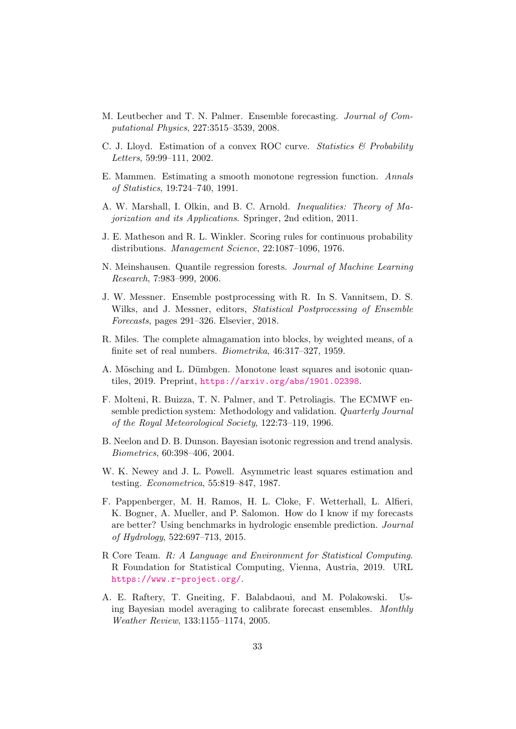- M. Leutbecher and T. N. Palmer. Ensemble forecasting. Journal of Computational Physics, 227:3515–3539, 2008.
- C. J. Lloyd. Estimation of a convex ROC curve. Statistics  $\mathcal{C}$  Probability Letters, 59:99–111, 2002.
- E. Mammen. Estimating a smooth monotone regression function. Annals of Statistics, 19:724–740, 1991.
- A. W. Marshall, I. Olkin, and B. C. Arnold. Inequalities: Theory of Majorization and its Applications. Springer, 2nd edition, 2011.
- J. E. Matheson and R. L. Winkler. Scoring rules for continuous probability distributions. Management Science, 22:1087–1096, 1976.
- N. Meinshausen. Quantile regression forests. Journal of Machine Learning Research, 7:983–999, 2006.
- J. W. Messner. Ensemble postprocessing with R. In S. Vannitsem, D. S. Wilks, and J. Messner, editors, Statistical Postprocessing of Ensemble Forecasts, pages 291–326. Elsevier, 2018.
- R. Miles. The complete almagamation into blocks, by weighted means, of a finite set of real numbers. Biometrika, 46:317–327, 1959.
- A. Mösching and L. Dümbgen. Monotone least squares and isotonic quantiles, 2019. Preprint, https://arxiv.org/abs/1901.02398.
- F. Molteni, R. Buizza, T. N. Palmer, and T. Petroliagis. The ECMWF ensemble prediction system: Methodology and validation. Quarterly Journal of the Royal Meteorological Society, 122:73–119, 1996.
- B. Neelon and D. B. Dunson. Bayesian isotonic regression and trend analysis. Biometrics, 60:398–406, 2004.
- W. K. Newey and J. L. Powell. Asymmetric least squares estimation and testing. Econometrica, 55:819–847, 1987.
- F. Pappenberger, M. H. Ramos, H. L. Cloke, F. Wetterhall, L. Alfieri, K. Bogner, A. Mueller, and P. Salomon. How do I know if my forecasts are better? Using benchmarks in hydrologic ensemble prediction. Journal of Hydrology, 522:697–713, 2015.
- R Core Team. R: A Language and Environment for Statistical Computing. R Foundation for Statistical Computing, Vienna, Austria, 2019. URL https://www.r-project.org/.
- A. E. Raftery, T. Gneiting, F. Balabdaoui, and M. Polakowski. Using Bayesian model averaging to calibrate forecast ensembles. Monthly Weather Review, 133:1155–1174, 2005.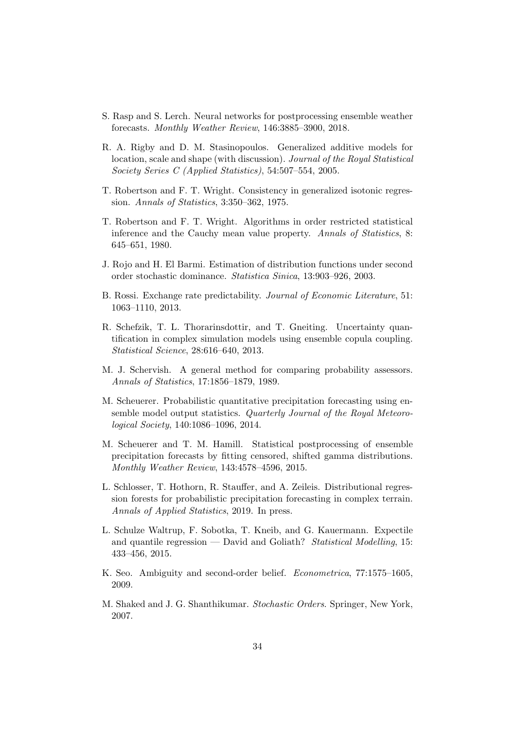- S. Rasp and S. Lerch. Neural networks for postprocessing ensemble weather forecasts. Monthly Weather Review, 146:3885–3900, 2018.
- R. A. Rigby and D. M. Stasinopoulos. Generalized additive models for location, scale and shape (with discussion). Journal of the Royal Statistical Society Series C (Applied Statistics), 54:507–554, 2005.
- T. Robertson and F. T. Wright. Consistency in generalized isotonic regression. Annals of Statistics, 3:350–362, 1975.
- T. Robertson and F. T. Wright. Algorithms in order restricted statistical inference and the Cauchy mean value property. Annals of Statistics, 8: 645–651, 1980.
- J. Rojo and H. El Barmi. Estimation of distribution functions under second order stochastic dominance. Statistica Sinica, 13:903–926, 2003.
- B. Rossi. Exchange rate predictability. Journal of Economic Literature, 51: 1063–1110, 2013.
- R. Schefzik, T. L. Thorarinsdottir, and T. Gneiting. Uncertainty quantification in complex simulation models using ensemble copula coupling. Statistical Science, 28:616–640, 2013.
- M. J. Schervish. A general method for comparing probability assessors. Annals of Statistics, 17:1856–1879, 1989.
- M. Scheuerer. Probabilistic quantitative precipitation forecasting using ensemble model output statistics. Quarterly Journal of the Royal Meteorological Society, 140:1086–1096, 2014.
- M. Scheuerer and T. M. Hamill. Statistical postprocessing of ensemble precipitation forecasts by fitting censored, shifted gamma distributions. Monthly Weather Review, 143:4578–4596, 2015.
- L. Schlosser, T. Hothorn, R. Stauffer, and A. Zeileis. Distributional regression forests for probabilistic precipitation forecasting in complex terrain. Annals of Applied Statistics, 2019. In press.
- L. Schulze Waltrup, F. Sobotka, T. Kneib, and G. Kauermann. Expectile and quantile regression — David and Goliath? Statistical Modelling, 15: 433–456, 2015.
- K. Seo. Ambiguity and second-order belief. Econometrica, 77:1575–1605, 2009.
- M. Shaked and J. G. Shanthikumar. Stochastic Orders. Springer, New York, 2007.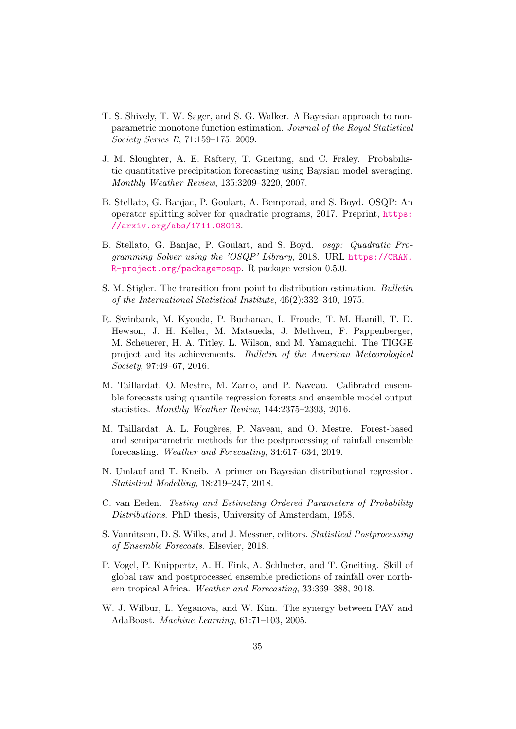- T. S. Shively, T. W. Sager, and S. G. Walker. A Bayesian approach to nonparametric monotone function estimation. Journal of the Royal Statistical Society Series B, 71:159–175, 2009.
- J. M. Sloughter, A. E. Raftery, T. Gneiting, and C. Fraley. Probabilistic quantitative precipitation forecasting using Baysian model averaging. Monthly Weather Review, 135:3209–3220, 2007.
- B. Stellato, G. Banjac, P. Goulart, A. Bemporad, and S. Boyd. OSQP: An operator splitting solver for quadratic programs, 2017. Preprint, https: //arxiv.org/abs/1711.08013.
- B. Stellato, G. Banjac, P. Goulart, and S. Boyd. osqp: Quadratic Programming Solver using the 'OSQP' Library, 2018. URL https://CRAN. R-project.org/package=osqp. R package version 0.5.0.
- S. M. Stigler. The transition from point to distribution estimation. Bulletin of the International Statistical Institute, 46(2):332–340, 1975.
- R. Swinbank, M. Kyouda, P. Buchanan, L. Froude, T. M. Hamill, T. D. Hewson, J. H. Keller, M. Matsueda, J. Methven, F. Pappenberger, M. Scheuerer, H. A. Titley, L. Wilson, and M. Yamaguchi. The TIGGE project and its achievements. Bulletin of the American Meteorological Society, 97:49–67, 2016.
- M. Taillardat, O. Mestre, M. Zamo, and P. Naveau. Calibrated ensemble forecasts using quantile regression forests and ensemble model output statistics. Monthly Weather Review, 144:2375–2393, 2016.
- M. Taillardat, A. L. Fougères, P. Naveau, and O. Mestre. Forest-based and semiparametric methods for the postprocessing of rainfall ensemble forecasting. Weather and Forecasting, 34:617–634, 2019.
- N. Umlauf and T. Kneib. A primer on Bayesian distributional regression. Statistical Modelling, 18:219–247, 2018.
- C. van Eeden. Testing and Estimating Ordered Parameters of Probability Distributions. PhD thesis, University of Amsterdam, 1958.
- S. Vannitsem, D. S. Wilks, and J. Messner, editors. Statistical Postprocessing of Ensemble Forecasts. Elsevier, 2018.
- P. Vogel, P. Knippertz, A. H. Fink, A. Schlueter, and T. Gneiting. Skill of global raw and postprocessed ensemble predictions of rainfall over northern tropical Africa. Weather and Forecasting, 33:369–388, 2018.
- W. J. Wilbur, L. Yeganova, and W. Kim. The synergy between PAV and AdaBoost. Machine Learning, 61:71–103, 2005.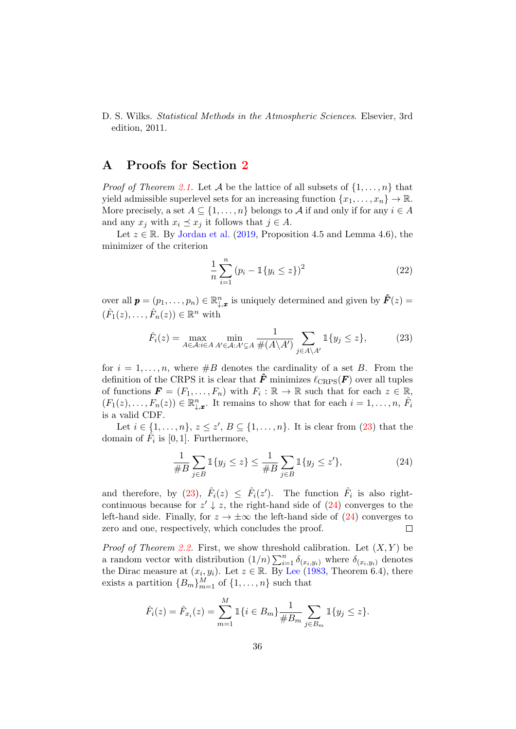#### D. S. Wilks. Statistical Methods in the Atmospheric Sciences. Elsevier, 3rd edition, 2011.

# A Proofs for Section 2

*Proof of Theorem 2.1.* Let A be the lattice of all subsets of  $\{1, \ldots, n\}$  that yield admissible superlevel sets for an increasing function  $\{x_1, \ldots, x_n\} \to \mathbb{R}$ . More precisely, a set  $A \subseteq \{1, \ldots, n\}$  belongs to A if and only if for any  $i \in A$ and any  $x_j$  with  $x_i \preceq x_j$  it follows that  $j \in A$ .

Let  $z \in \mathbb{R}$ . By Jordan et al. (2019, Proposition 4.5 and Lemma 4.6), the minimizer of the criterion

$$
\frac{1}{n}\sum_{i=1}^{n} (p_i - \mathbb{1}\{y_i \le z\})^2
$$
 (22)

over all  $p = (p_1, \ldots, p_n) \in \mathbb{R}_{\downarrow,x}^n$  is uniquely determined and given by  $\hat{F}(z) =$  $(\hat{F}_1(z), \ldots, \hat{F}_n(z)) \in \mathbb{R}^n$  with

$$
\hat{F}_i(z) = \max_{A \in \mathcal{A}: i \in A} \min_{A' \in \mathcal{A}: A' \subsetneq A} \frac{1}{\#(A \setminus A')} \sum_{j \in A \setminus A'} \mathbb{1}\{y_j \le z\},\tag{23}
$$

for  $i = 1, \ldots, n$ , where  $\#B$  denotes the cardinality of a set B. From the definition of the CRPS it is clear that  $\hat{F}$  minimizes  $\ell_{CRPS}(F)$  over all tuples of functions  $\mathbf{F} = (F_1, \ldots, F_n)$  with  $F_i : \mathbb{R} \to \mathbb{R}$  such that for each  $z \in \mathbb{R}$ ,  $(F_1(z), \ldots, F_n(z)) \in \mathbb{R}_{\downarrow,x}^n$ . It remains to show that for each  $i = 1, \ldots, n$ ,  $\hat{F}_i$ is a valid CDF.

Let  $i \in \{1, ..., n\}, z \leq z', B \subseteq \{1, ..., n\}.$  It is clear from  $(23)$  that the domain of  $\hat{F}_i$  is [0, 1]. Furthermore,

$$
\frac{1}{\#B} \sum_{j \in B} \mathbb{1}{y_j \le z} \le \frac{1}{\#B} \sum_{j \in B} \mathbb{1}{y_j \le z'},
$$
\n(24)

and therefore, by (23),  $\hat{F}_i(z) \leq \hat{F}_i(z')$ . The function  $\hat{F}_i$  is also rightcontinuous because for  $z' \downarrow z$ , the right-hand side of  $(24)$  converges to the left-hand side. Finally, for  $z \to \pm \infty$  the left-hand side of (24) converges to zero and one, respectively, which concludes the proof. zero and one, respectively, which concludes the proof.

*Proof of Theorem 2.2.* First, we show threshold calibration. Let  $(X, Y)$  be a random vector with distribution  $(1/n) \sum_{i=1}^n \delta_{(x_i,y_i)}$  where  $\delta_{(x_i,y_i)}$  denotes the Dirac measure at  $(x_i, y_i)$ . Let  $z \in \mathbb{R}$ . By Lee (1983, Theorem 6.4), there exists a partition  ${B_m}_{m=1}^M$  of  ${1, \ldots, n}$  such that

$$
\hat{F}_i(z) = \hat{F}_{x_i}(z) = \sum_{m=1}^M \mathbb{1}\{i \in B_m\} \frac{1}{\#B_m} \sum_{j \in B_m} \mathbb{1}\{y_j \le z\}.
$$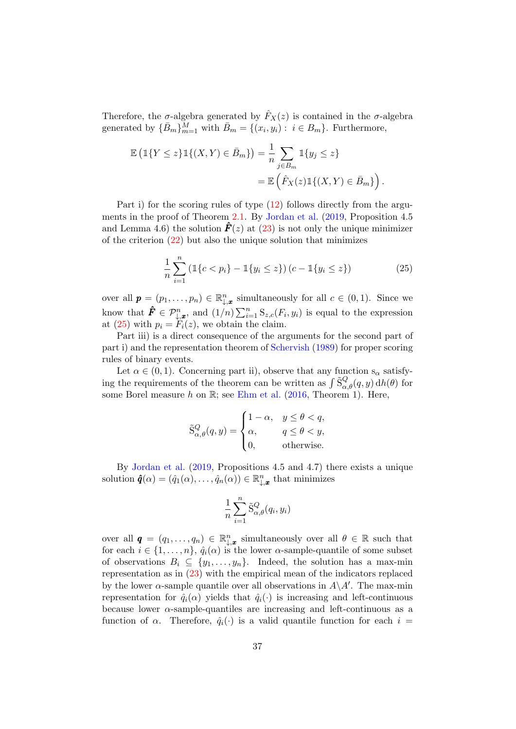Therefore, the  $\sigma$ -algebra generated by  $\hat{F}_X(z)$  is contained in the  $\sigma$ -algebra generated by  $\{\bar{B}_m\}_{m=1}^M$  with  $\bar{B}_m = \{(x_i, y_i) : i \in B_m\}$ . Furthermore,

$$
\mathbb{E}\left(\mathbb{1}\{Y \leq z\}\mathbb{1}\{(X,Y) \in \bar{B}_m\}\right) = \frac{1}{n} \sum_{j \in B_m} \mathbb{1}\{y_j \leq z\}
$$

$$
= \mathbb{E}\left(\hat{F}_X(z)\mathbb{1}\{(X,Y) \in \bar{B}_m\}\right).
$$

Part i) for the scoring rules of type (12) follows directly from the arguments in the proof of Theorem 2.1. By Jordan et al. (2019, Proposition 4.5 and Lemma 4.6) the solution  $\mathbf{F}(z)$  at (23) is not only the unique minimizer of the criterion  $(22)$  but also the unique solution that minimizes

$$
\frac{1}{n}\sum_{i=1}^{n} \left( \mathbb{1}\{c < p_i\} - \mathbb{1}\{y_i \le z\} \right) (c - \mathbb{1}\{y_i \le z\}) \tag{25}
$$

over all  $\mathbf{p} = (p_1, \ldots, p_n) \in \mathbb{R}_{\downarrow, \mathbf{x}}^n$  simultaneously for all  $c \in (0, 1)$ . Since we know that  $\hat{\mathbf{F}} \in \mathcal{P}_{\downarrow,\mathbf{x}}^n$ , and  $(1/n)\sum_{i=1}^n \mathbf{S}_{z,c}(F_i,y_i)$  is equal to the expression at (25) with  $p_i = F_i(z)$ , we obtain the claim.

Part iii) is a direct consequence of the arguments for the second part of part i) and the representation theorem of Schervish (1989) for proper scoring rules of binary events.

Let  $\alpha \in (0, 1)$ . Concerning part ii), observe that any function  $s_{\alpha}$  satisfying the requirements of the theorem can be written as  $\int \tilde{S}_{\alpha,\theta}^{Q}(q, y) dh(\theta)$  for some Borel measure  $h$  on  $\mathbb{R}$ ; see Ehm et al. (2016, Theorem 1). Here,

$$
\tilde{\mathbf{S}}^Q_{\alpha,\theta}(q,y) = \begin{cases} 1-\alpha, & y \leq \theta < q,\\ \alpha, & q \leq \theta < y,\\ 0, & \text{otherwise}. \end{cases}
$$

By Jordan et al. (2019, Propositions 4.5 and 4.7) there exists a unique solution  $\hat{\boldsymbol{q}}(\alpha) = (\hat{q}_1(\alpha), \dots, \hat{q}_n(\alpha)) \in \mathbb{R}_{\downarrow, \boldsymbol{x}}^n$  that minimizes

$$
\frac{1}{n}\sum_{i=1}^n \tilde{S}^Q_{\alpha,\theta}(q_i,y_i)
$$

over all  $\boldsymbol{q} = (q_1, \ldots, q_n) \in \mathbb{R}_{+x}^n$  simultaneously over all  $\theta \in \mathbb{R}$  such that for each  $i \in \{1, \ldots, n\}$ ,  $\hat{q}_i(\alpha)$  is the lower  $\alpha$ -sample-quantile of some subset of observations  $B_i \subseteq \{y_1, \ldots, y_n\}$ . Indeed, the solution has a max-min representation as in (23) with the empirical mean of the indicators replaced by the lower  $\alpha$ -sample quantile over all observations in  $A \setminus A'$ . The max-min representation for  $\hat{q}_i(\alpha)$  yields that  $\hat{q}_i(\cdot)$  is increasing and left-continuous because lower  $\alpha$ -sample-quantiles are increasing and left-continuous as a function of  $\alpha$ . Therefore,  $\hat{q}_i(\cdot)$  is a valid quantile function for each  $i =$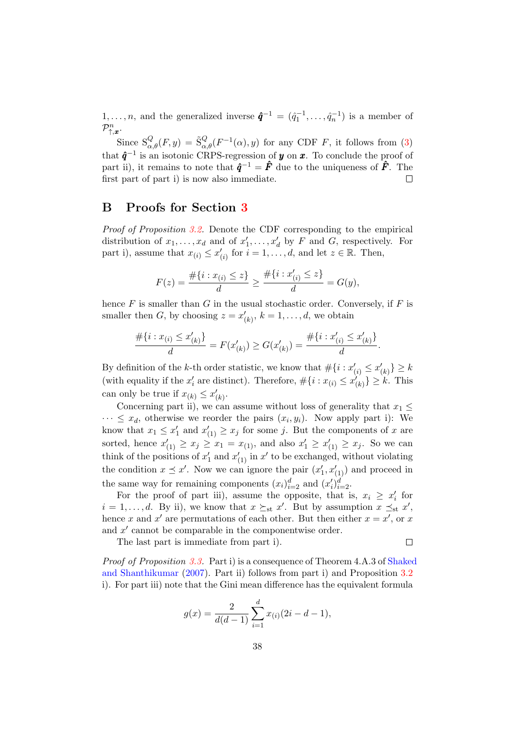$1, \ldots, n$ , and the generalized inverse  $\hat{\mathbf{q}}^{-1} = (\hat{q}_1^{-1}, \ldots, \hat{q}_n^{-1})$  is a member of  $\mathcal{P}_{\uparrow,\bm{x}}^n$ .

Since  $S_{\alpha,\theta}^Q(F, y) = \tilde{S}_{\alpha,\theta}^Q(F^{-1}(\alpha), y)$  for any CDF F, it follows from (3) that  $\hat{q}^{-1}$  is an isotonic CRPS-regression of y on x. To conclude the proof of part ii), it remains to note that  $\hat{q}^{-1} = \hat{F}$  due to the uniqueness of  $\hat{F}$ . The first part of part i) is now also immediate.  $\Box$ 

## B Proofs for Section 3

Proof of Proposition 3.2. Denote the CDF corresponding to the empirical distribution of  $x_1, \ldots, x_d$  and of  $x'_1, \ldots, x'_d$  by F and G, respectively. For part i), assume that  $x_{(i)} \leq x'_{(i)}$  for  $i = 1, ..., d$ , and let  $z \in \mathbb{R}$ . Then,

$$
F(z) = \frac{\#\{i : x_{(i)} \le z\}}{d} \ge \frac{\#\{i : x'_{(i)} \le z\}}{d} = G(y),
$$

hence  $F$  is smaller than  $G$  in the usual stochastic order. Conversely, if  $F$  is smaller then G, by choosing  $z = x'_{(k)}$ ,  $k = 1, \ldots, d$ , we obtain

$$
\frac{\#\{i: x_{(i)} \le x'_{(k)}\}}{d} = F(x'_{(k)}) \ge G(x'_{(k)}) = \frac{\#\{i: x'_{(i)} \le x'_{(k)}\}}{d}.
$$

By definition of the k-th order statistic, we know that  $\#\{i : x'_{(i)} \leq x'_{(k)}\} \geq k$ (with equality if the  $x'_i$  are distinct). Therefore,  $\#\{i : x_{(i)} \le x'_{(k)}\} \ge k$ . This can only be true if  $x_{(k)} \leq x'_{(k)}$ .

Concerning part ii), we can assume without loss of generality that  $x_1 \leq$  $\cdots \leq x_d$ , otherwise we reorder the pairs  $(x_i, y_i)$ . Now apply part i): We know that  $x_1 \leq x_1'$  and  $x_{(1)}' \geq x_j$  for some j. But the components of x are sorted, hence  $x'_{(1)} \ge x_j \ge x_1 = x_{(1)}$ , and also  $x'_1 \ge x'_{(1)} \ge x_j$ . So we can think of the positions of  $x'_1$  and  $x'_{(1)}$  in  $x'$  to be exchanged, without violating the condition  $x \preceq x'$ . Now we can ignore the pair  $(x'_1, x'_{(1)})$  and proceed in the same way for remaining components  $(x_i)_{i=2}^d$  and  $(x_i')_{i=2}^d$ .

For the proof of part iii), assume the opposite, that is,  $x_i \geq x'_i$  for  $i = 1, \ldots, d$ . By ii), we know that  $x \succeq_{st} x'$ . But by assumption  $x \preceq_{st} x'$ , hence x and  $x'$  are permutations of each other. But then either  $x = x'$ , or x and  $x'$  cannot be comparable in the componentwise order.

The last part is immediate from part i).

Proof of Proposition 3.3. Part i) is a consequence of Theorem 4.A.3 of Shaked and Shanthikumar (2007). Part ii) follows from part i) and Proposition 3.2 i). For part iii) note that the Gini mean difference has the equivalent formula

 $\Box$ 

$$
g(x) = \frac{2}{d(d-1)} \sum_{i=1}^{d} x_{(i)}(2i - d - 1),
$$